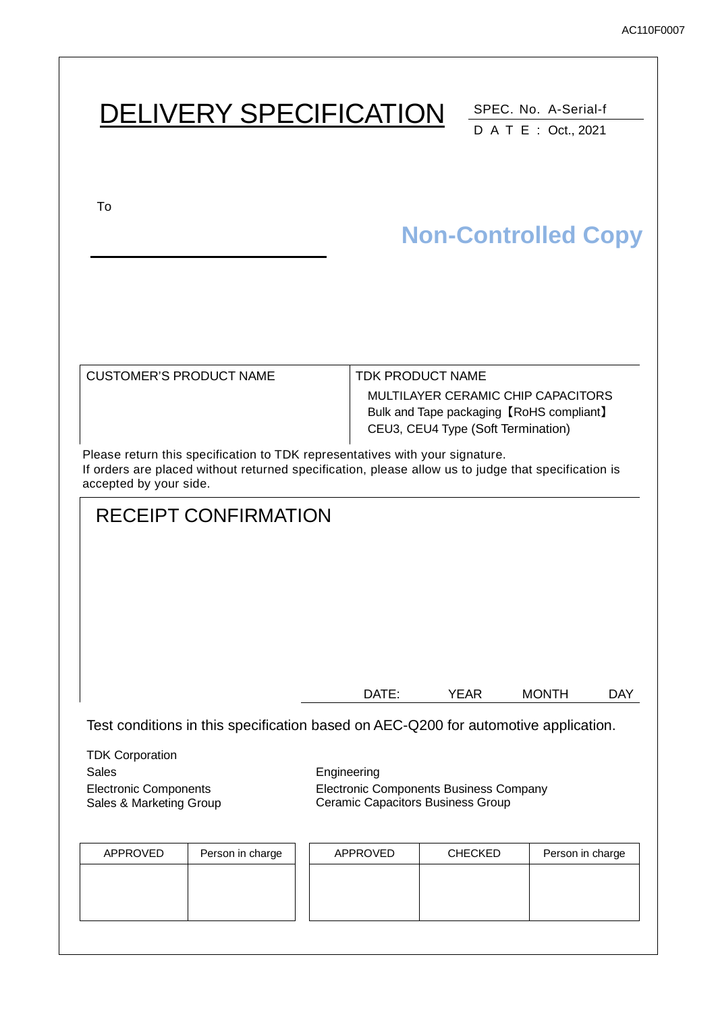| <b>DELIVERY SPECIFICATION</b>                                                                                                                                                                                 |             |                                                               |             | SPEC. No. A-Serial-f<br>D A T E : Oct., 2021                                   |            |
|---------------------------------------------------------------------------------------------------------------------------------------------------------------------------------------------------------------|-------------|---------------------------------------------------------------|-------------|--------------------------------------------------------------------------------|------------|
| To                                                                                                                                                                                                            |             |                                                               |             | <b>Non-Controlled Copy</b>                                                     |            |
| <b>CUSTOMER'S PRODUCT NAME</b>                                                                                                                                                                                |             | <b>TDK PRODUCT NAME</b><br>CEU3, CEU4 Type (Soft Termination) |             | MULTILAYER CERAMIC CHIP CAPACITORS<br>Bulk and Tape packaging [RoHS compliant] |            |
| Please return this specification to TDK representatives with your signature.<br>If orders are placed without returned specification, please allow us to judge that specification is<br>accepted by your side. |             |                                                               |             |                                                                                |            |
| <b>RECEIPT CONFIRMATION</b>                                                                                                                                                                                   |             |                                                               |             |                                                                                |            |
|                                                                                                                                                                                                               |             | DATE:                                                         | <b>YEAR</b> | <b>MONTH</b>                                                                   | <b>DAY</b> |
| Test conditions in this specification based on AEC-Q200 for automotive application.                                                                                                                           |             |                                                               |             |                                                                                |            |
| <b>TDK Corporation</b><br>Sales<br><b>Electronic Components</b>                                                                                                                                               | Engineering | Electronic Components Business Company                        |             |                                                                                |            |

Ceramic Capacitors Business Group

Sales & Marketing Group

| APPROVED | Person in charge | APPROVED | <b>CHECKED</b> | Person in charge |
|----------|------------------|----------|----------------|------------------|
|          |                  |          |                |                  |
|          |                  |          |                |                  |
|          |                  |          |                |                  |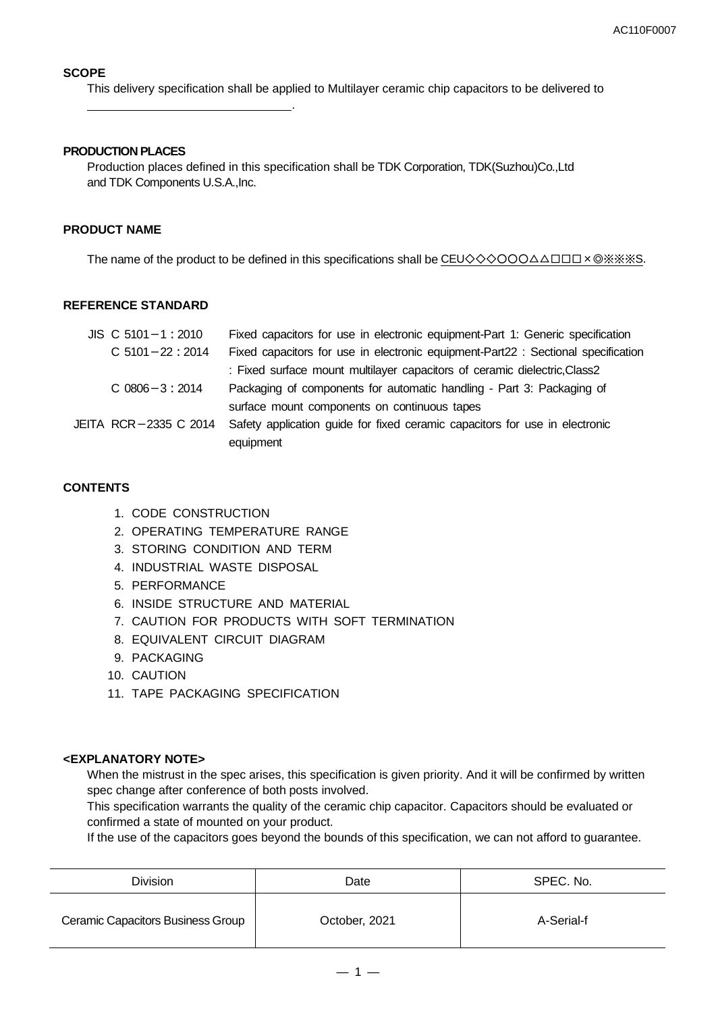### **SCOPE**

This delivery specification shall be applied to Multilayer ceramic chip capacitors to be delivered to

#### **PRODUCTION PLACES**

.

Production places defined in this specification shall be TDK Corporation, TDK(Suzhou)Co.,Ltd and TDK Components U.S.A.,Inc.

#### **PRODUCT NAME**

The name of the product to be defined in this specifications shall be CEU◇◇◇○○○△△□□□×◎※※※S.

#### **REFERENCE STANDARD**

| $JIS$ C 5101 - 1 : 2010 | Fixed capacitors for use in electronic equipment-Part 1: Generic specification    |
|-------------------------|-----------------------------------------------------------------------------------|
| $C$ 5101 - 22 : 2014    | Fixed capacitors for use in electronic equipment-Part22 : Sectional specification |
|                         | : Fixed surface mount multilayer capacitors of ceramic dielectric, Class2         |
| $C$ 0806 $-3:2014$      | Packaging of components for automatic handling - Part 3: Packaging of             |
|                         | surface mount components on continuous tapes                                      |
| JEITA RCR-2335 C 2014   | Safety application guide for fixed ceramic capacitors for use in electronic       |
|                         | equipment                                                                         |

#### **CONTENTS**

- 1. CODE CONSTRUCTION
- 2. OPERATING TEMPERATURE RANGE
- 3. STORING CONDITION AND TERM
- 4. INDUSTRIAL WASTE DISPOSAL
- 5. PERFORMANCE
- 6. INSIDE STRUCTURE AND MATERIAL
- 7. CAUTION FOR PRODUCTS WITH SOFT TERMINATION
- 8. EQUIVALENT CIRCUIT DIAGRAM
- 9. PACKAGING
- 10. CAUTION
- 11. TAPE PACKAGING SPECIFICATION

### **<EXPLANATORY NOTE>**

When the mistrust in the spec arises, this specification is given priority. And it will be confirmed by written spec change after conference of both posts involved.

This specification warrants the quality of the ceramic chip capacitor. Capacitors should be evaluated or confirmed a state of mounted on your product.

If the use of the capacitors goes beyond the bounds of this specification, we can not afford to guarantee.

| <b>Division</b>                   | Date          | SPEC. No.  |  |
|-----------------------------------|---------------|------------|--|
| Ceramic Capacitors Business Group | October, 2021 | A-Serial-f |  |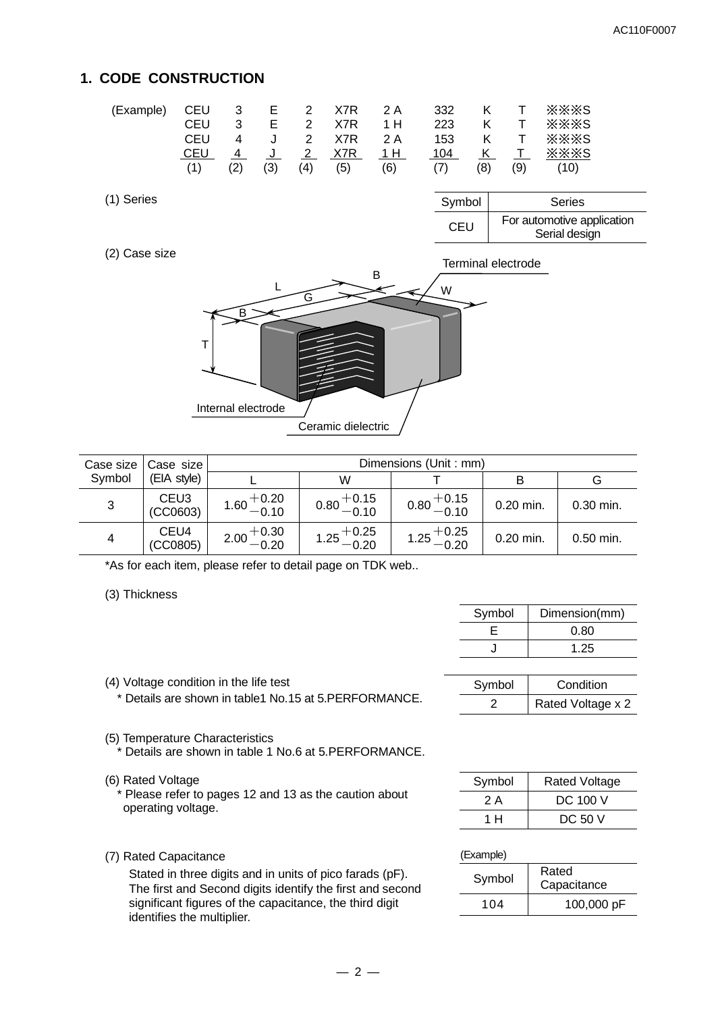### **1. CODE CONSTRUCTION**

(2) Case size

| (Example) |            |               |     |             |     |     |     | CEU 3 E 2 X7R 2 A 332 K T ※※※S |
|-----------|------------|---------------|-----|-------------|-----|-----|-----|--------------------------------|
|           | CEU        | $\mathcal{R}$ |     |             |     |     |     | E 2 X7R 1 H 223 K T ※※※S       |
|           | CEU        | 4             |     |             |     |     |     | U 2 X7R 2 A 153 K T ※※※S       |
|           | <b>CEU</b> |               |     |             |     |     |     |                                |
|           | (1)        | (2)           | (3) | $(4)$ $(5)$ | (6) | (7) | (8) | $(9)$ $(10)$                   |

| (1) Series | Symbol     | <b>Series</b>                               |
|------------|------------|---------------------------------------------|
|            | <b>CEU</b> | For automotive application<br>Serial design |



|        | Case size   Case size        | Dimensions (Unit: mm)  |                        |                        |             |             |  |
|--------|------------------------------|------------------------|------------------------|------------------------|-------------|-------------|--|
| Symbol | (EIA style)                  |                        | W                      |                        |             | G           |  |
| 3      | CEU <sub>3</sub><br>(CCO603) | $1.60 + 0.20$<br>-0.10 | $0.80 + 0.15$<br>-0.10 | $0.80 + 0.15$<br>-0.10 | $0.20$ min. | $0.30$ min. |  |
| 4      | CEU4<br>(CCO805)             | $2.00 + 0.30$<br>-0.20 | $1.25 + 0.25 - 0.20$   | $1.25 + 0.25 - 0.20$   | $0.20$ min. | $0.50$ min. |  |

\*As for each item, please refer to detail page on TDK web..

(3) Thickness

| Symbol | Dimension(mm) |
|--------|---------------|
|        | 0.80          |
|        | 1.25          |

| Symbol | Condition         |
|--------|-------------------|
|        | Rated Voltage x 2 |

- (4) Voltage condition in the life test \* Details are shown in table1 No.15 at 5.PERFORMANCE.
- (5) Temperature Characteristics Details are shown in table 1 No.6 at 5.PERFORMANCE.
- (6) Rated Voltage

 \* Please refer to pages 12 and 13 as the caution about operating voltage.

(7) Rated Capacitance

Stated in three digits and in units of pico farads (pF). The first and Second digits identify the first and second significant figures of the capacitance, the third digit identifies the multiplier.

| Symbol | <b>Rated Voltage</b> |
|--------|----------------------|
| 2 A    | DC 100 V             |
| 1 H    | DC 50 V              |

### (Example)

| Symbol | Rated<br>Capacitance |
|--------|----------------------|
| 104    | 100,000 pF           |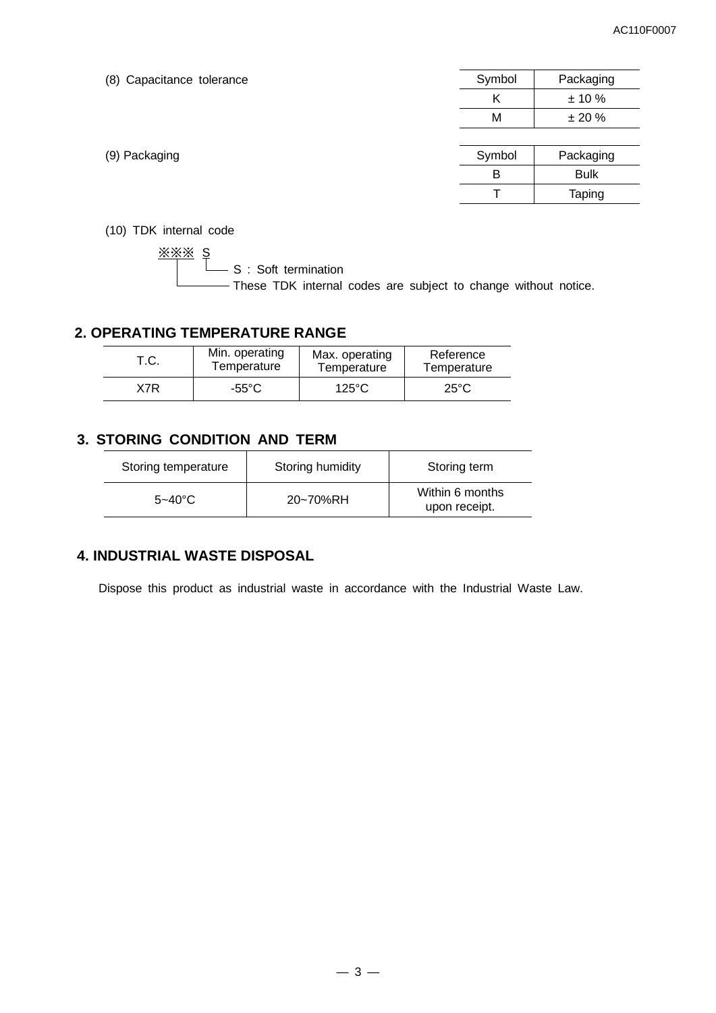| (8) Capacitance tolerance | Symbol | Packaging     |
|---------------------------|--------|---------------|
|                           | Κ      | ± 10%         |
|                           | M      | ± 20%         |
|                           |        |               |
| (9) Packaging             | Symbol | Packaging     |
|                           | B      | <b>Bulk</b>   |
|                           |        | <b>Taping</b> |
|                           |        |               |

(10) TDK internal code

<u>※※※ s</u> **S** : Soft termination These TDK internal codes are subject to change without notice.

### **2. OPERATING TEMPERATURE RANGE**

| T.C.         | Min. operating | Max. operating  | Reference      |  |
|--------------|----------------|-----------------|----------------|--|
|              | Temperature    | Temperature     | Temperature    |  |
| X7R<br>-55°C |                | $125^{\circ}$ C | $25^{\circ}$ C |  |

### **3. STORING CONDITION AND TERM**

| Storing temperature | Storing humidity | Storing term                     |
|---------------------|------------------|----------------------------------|
| $5 - 40^{\circ}$ C  | 20~70%RH         | Within 6 months<br>upon receipt. |

### **4. INDUSTRIAL WASTE DISPOSAL**

Dispose this product as industrial waste in accordance with the Industrial Waste Law.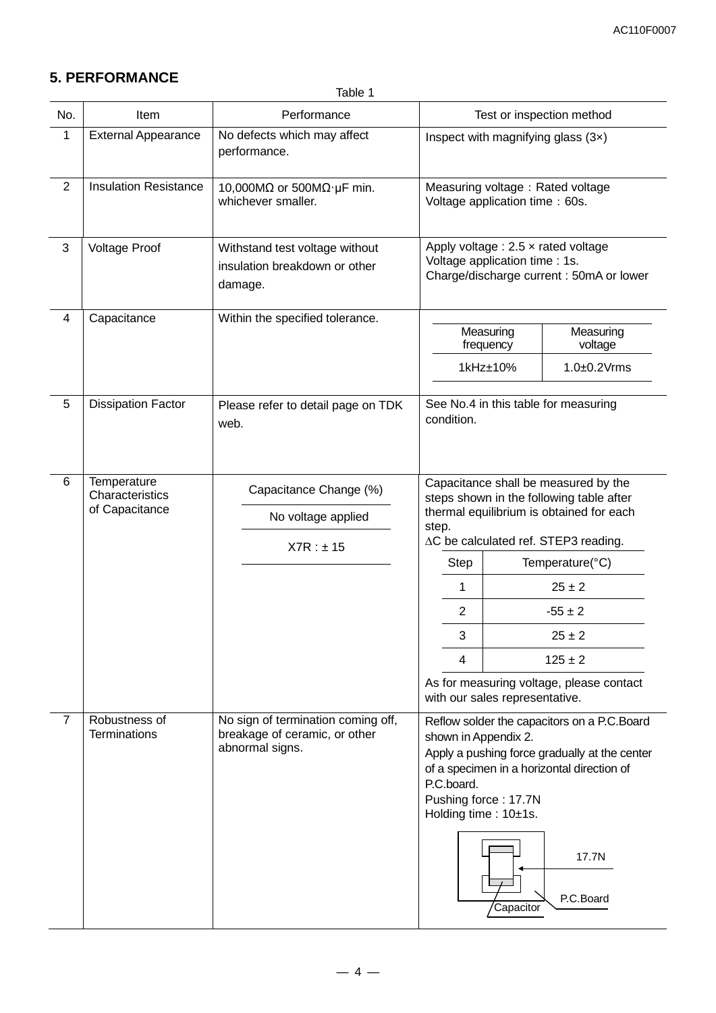# **5. PERFORMANCE**

Table 1

| No.                     | Item                                             | Performance                                                                            | Test or inspection method                                                                                                                                                                                                                                                                                                                                                              |  |  |
|-------------------------|--------------------------------------------------|----------------------------------------------------------------------------------------|----------------------------------------------------------------------------------------------------------------------------------------------------------------------------------------------------------------------------------------------------------------------------------------------------------------------------------------------------------------------------------------|--|--|
| $\mathbf 1$             | <b>External Appearance</b>                       | No defects which may affect<br>performance.                                            | Inspect with magnifying glass (3x)                                                                                                                                                                                                                                                                                                                                                     |  |  |
| $\overline{2}$          | <b>Insulation Resistance</b>                     | 10,000M $\Omega$ or 500M $\Omega$ · µF min.<br>whichever smaller.                      | Measuring voltage: Rated voltage<br>Voltage application time: 60s.                                                                                                                                                                                                                                                                                                                     |  |  |
| 3                       | <b>Voltage Proof</b>                             | Withstand test voltage without<br>insulation breakdown or other<br>damage.             | Apply voltage : $2.5 \times$ rated voltage<br>Voltage application time : 1s.<br>Charge/discharge current: 50mA or lower                                                                                                                                                                                                                                                                |  |  |
| $\overline{\mathbf{4}}$ | Capacitance                                      | Within the specified tolerance.                                                        | Measuring<br>Measuring<br>voltage<br>frequency                                                                                                                                                                                                                                                                                                                                         |  |  |
|                         |                                                  |                                                                                        | 1kHz±10%<br>$1.0 \pm 0.2$ Vrms                                                                                                                                                                                                                                                                                                                                                         |  |  |
| 5                       | <b>Dissipation Factor</b>                        | Please refer to detail page on TDK<br>web.                                             | See No.4 in this table for measuring<br>condition.                                                                                                                                                                                                                                                                                                                                     |  |  |
| 6                       | Temperature<br>Characteristics<br>of Capacitance | Capacitance Change (%)<br>No voltage applied<br>X7R : ±15                              | Capacitance shall be measured by the<br>steps shown in the following table after<br>thermal equilibrium is obtained for each<br>step.<br>∆C be calculated ref. STEP3 reading.<br><b>Step</b><br>Temperature(°C)<br>$25 \pm 2$<br>1<br>$\overline{c}$<br>$-55 \pm 2$<br>3<br>$25 + 2$<br>4<br>$125 \pm 2$<br>As for measuring voltage, please contact<br>with our sales representative. |  |  |
| 7                       | Robustness of<br><b>Terminations</b>             | No sign of termination coming off,<br>breakage of ceramic, or other<br>abnormal signs. | Reflow solder the capacitors on a P.C.Board<br>shown in Appendix 2.<br>Apply a pushing force gradually at the center<br>of a specimen in a horizontal direction of<br>P.C.board.<br>Pushing force: 17.7N<br>Holding time: 10±1s.<br>17.7N<br>P.C.Board<br>Capacitor                                                                                                                    |  |  |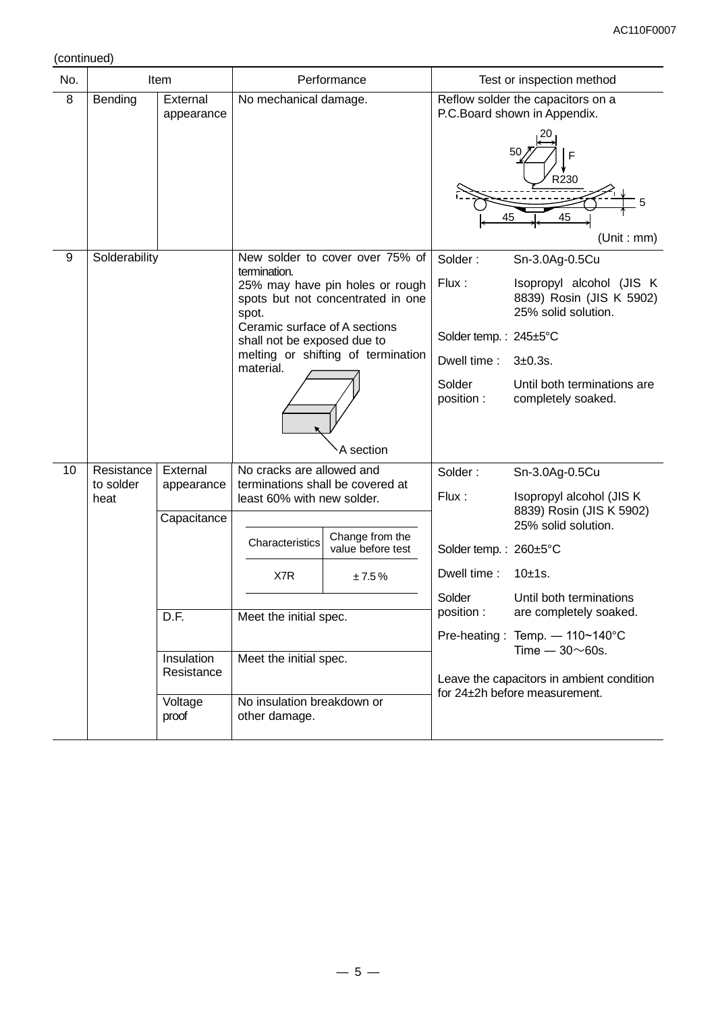(continued)

| No. |                   | Item                     |                                                                | Performance                                                          |                       | Test or inspection method                                                   |
|-----|-------------------|--------------------------|----------------------------------------------------------------|----------------------------------------------------------------------|-----------------------|-----------------------------------------------------------------------------|
| 8   | Bending           | External<br>appearance   | No mechanical damage.                                          |                                                                      |                       | Reflow solder the capacitors on a<br>P.C.Board shown in Appendix.           |
|     |                   |                          |                                                                |                                                                      | 45                    | F<br>R230<br>45<br>(Unit : mm)                                              |
| 9   | Solderability     |                          | termination.                                                   | New solder to cover over 75% of                                      | Solder:               | Sn-3.0Ag-0.5Cu                                                              |
|     |                   |                          | spot.                                                          | 25% may have pin holes or rough<br>spots but not concentrated in one | Flux:                 | Isopropyl alcohol (JIS K<br>8839) Rosin (JIS K 5902)<br>25% solid solution. |
|     |                   |                          | Ceramic surface of A sections<br>shall not be exposed due to   |                                                                      | Solder temp.: 245±5°C |                                                                             |
|     |                   |                          | material.                                                      | melting or shifting of termination                                   | Dwell time:           | $3+0.3s$ .                                                                  |
|     |                   |                          |                                                                | A section                                                            | Solder<br>position :  | Until both terminations are<br>completely soaked.                           |
| 10  | Resistance        | External                 | No cracks are allowed and                                      |                                                                      | Solder:               | Sn-3.0Ag-0.5Cu                                                              |
|     | to solder<br>heat | appearance               | terminations shall be covered at<br>least 60% with new solder. |                                                                      | Flux:                 | Isopropyl alcohol (JIS K)                                                   |
|     |                   | Capacitance              |                                                                |                                                                      |                       | 8839) Rosin (JIS K 5902)<br>25% solid solution.                             |
|     |                   |                          | Characteristics                                                | Change from the<br>value before test                                 | Solder temp.: 260±5°C |                                                                             |
|     |                   |                          | X7R                                                            | ±7.5%                                                                | Dwell time:           | 10±1s.                                                                      |
|     |                   | D.F.                     | Meet the initial spec.                                         |                                                                      | Solder<br>position:   | Until both terminations<br>are completely soaked.                           |
|     |                   |                          |                                                                |                                                                      |                       | Pre-heating: Temp. - 110~140°C                                              |
|     |                   | Insulation<br>Resistance | Meet the initial spec.                                         |                                                                      |                       | Time $-30\nu$ 60s.                                                          |
|     |                   |                          |                                                                |                                                                      |                       | Leave the capacitors in ambient condition<br>for 24±2h before measurement.  |
|     |                   | Voltage<br>proof         | No insulation breakdown or<br>other damage.                    |                                                                      |                       |                                                                             |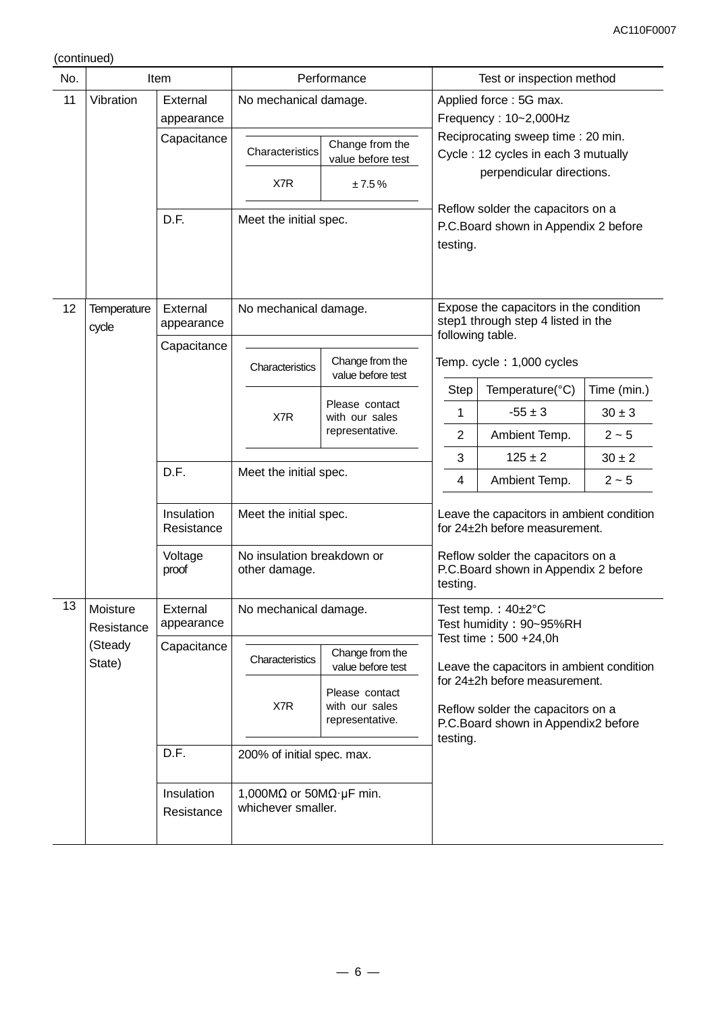(continued)

| No. |                             | Item                     |                                                                                  | Performance                                                     |                                                                                                                                                                                                | Test or inspection method                       |             |
|-----|-----------------------------|--------------------------|----------------------------------------------------------------------------------|-----------------------------------------------------------------|------------------------------------------------------------------------------------------------------------------------------------------------------------------------------------------------|-------------------------------------------------|-------------|
| 11  | Vibration                   | External<br>appearance   | No mechanical damage.                                                            |                                                                 |                                                                                                                                                                                                | Applied force: 5G max.<br>Frequency: 10~2,000Hz |             |
|     |                             | Capacitance              | Characteristics                                                                  | Change from the<br>value before test                            | Reciprocating sweep time: 20 min.<br>Cycle: 12 cycles in each 3 mutually<br>perpendicular directions.<br>Reflow solder the capacitors on a<br>P.C.Board shown in Appendix 2 before<br>testing. |                                                 |             |
|     |                             |                          | X7R                                                                              | ±7.5%                                                           |                                                                                                                                                                                                |                                                 |             |
|     |                             | D.F.                     | Meet the initial spec.                                                           |                                                                 |                                                                                                                                                                                                |                                                 |             |
| 12  | <b>Temperature</b><br>cycle | External<br>appearance   | No mechanical damage.<br>Change from the<br>Characteristics<br>value before test |                                                                 | Expose the capacitors in the condition<br>step1 through step 4 listed in the<br>following table.<br>Temp. cycle: 1,000 cycles                                                                  |                                                 |             |
|     |                             | Capacitance              |                                                                                  |                                                                 |                                                                                                                                                                                                |                                                 |             |
|     |                             |                          |                                                                                  |                                                                 | <b>Step</b>                                                                                                                                                                                    | Temperature(°C)                                 | Time (min.) |
|     |                             |                          | X7R                                                                              | Please contact<br>with our sales                                | 1                                                                                                                                                                                              | $-55 \pm 3$                                     | $30\pm3$    |
|     |                             |                          |                                                                                  | representative.                                                 | $\overline{2}$                                                                                                                                                                                 | Ambient Temp.                                   | $2 - 5$     |
|     |                             | D.F.                     |                                                                                  |                                                                 | 3                                                                                                                                                                                              | $125 \pm 2$                                     | $30 \pm 2$  |
|     |                             |                          | Meet the initial spec.                                                           |                                                                 | 4                                                                                                                                                                                              | Ambient Temp.                                   | $2 - 5$     |
|     |                             | Insulation<br>Resistance | Meet the initial spec.                                                           |                                                                 | Leave the capacitors in ambient condition<br>for 24±2h before measurement.<br>Reflow solder the capacitors on a<br>P.C.Board shown in Appendix 2 before<br>testing.                            |                                                 |             |
|     |                             | Voltage<br>proof         | No insulation breakdown or<br>other damage.                                      |                                                                 |                                                                                                                                                                                                |                                                 |             |
| 13  | Moisture<br>Resistance      | External<br>appearance   | No mechanical damage.                                                            |                                                                 | Test temp.: $40\pm2^{\circ}C$<br>Test humidity: 90~95%RH                                                                                                                                       |                                                 |             |
|     | (Steady<br>State)           | Capacitance              | Characteristics                                                                  | Change from the<br>value before test                            | Test time: 500 +24,0h<br>Leave the capacitors in ambient condition<br>for 24±2h before measurement.<br>Reflow solder the capacitors on a<br>P.C. Board shown in Appendix2 before<br>testing.   |                                                 |             |
|     |                             |                          | X7R                                                                              | Please contact<br>with our sales<br>representative.             |                                                                                                                                                                                                |                                                 |             |
|     |                             | D.F.                     | 200% of initial spec. max.                                                       |                                                                 |                                                                                                                                                                                                |                                                 |             |
|     |                             | Insulation<br>Resistance |                                                                                  | 1,000M $\Omega$ or 50M $\Omega$ · µF min.<br>whichever smaller. |                                                                                                                                                                                                |                                                 |             |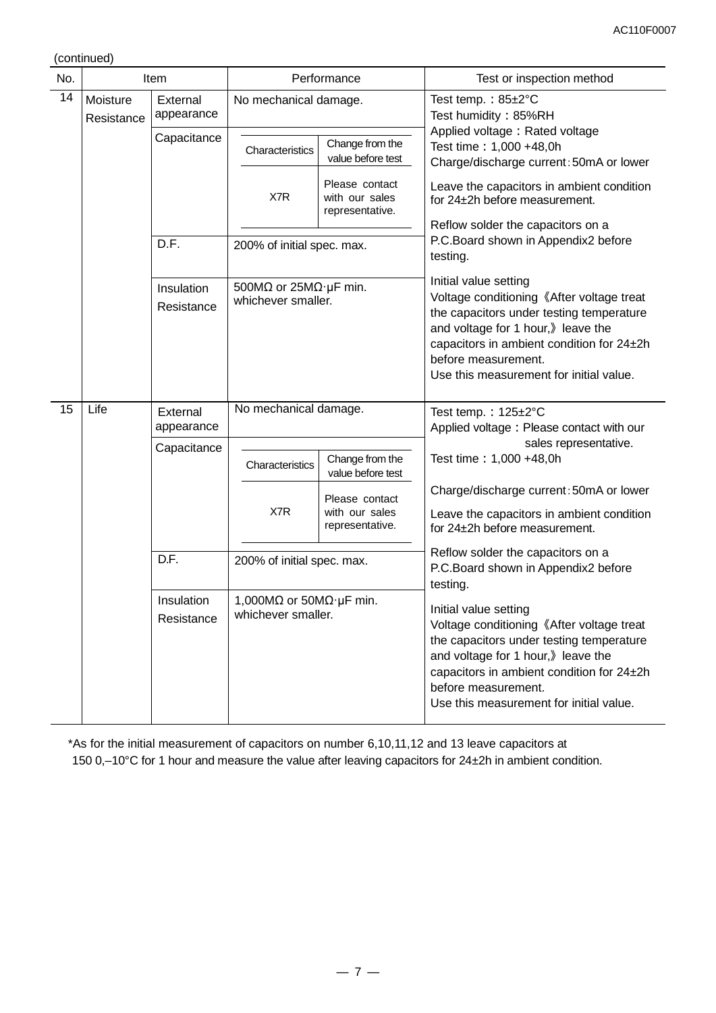(continued)

| No.                                |                        | Item                     |                                                                                      | Performance                                         | Test or inspection method                                                                                                                                                                                                                                          |  |
|------------------------------------|------------------------|--------------------------|--------------------------------------------------------------------------------------|-----------------------------------------------------|--------------------------------------------------------------------------------------------------------------------------------------------------------------------------------------------------------------------------------------------------------------------|--|
| 14                                 | Moisture<br>Resistance | External<br>appearance   | No mechanical damage.                                                                |                                                     | Test temp.: $85 \pm 2^{\circ}$ C<br>Test humidity: 85%RH<br>Applied voltage: Rated voltage                                                                                                                                                                         |  |
|                                    |                        | Capacitance              | Characteristics                                                                      | Change from the<br>value before test                | Test time: 1,000 +48,0h<br>Charge/discharge current: 50mA or lower                                                                                                                                                                                                 |  |
|                                    |                        |                          | X7R                                                                                  | Please contact<br>with our sales<br>representative. | Leave the capacitors in ambient condition<br>for 24±2h before measurement.                                                                                                                                                                                         |  |
|                                    |                        |                          |                                                                                      |                                                     | Reflow solder the capacitors on a                                                                                                                                                                                                                                  |  |
|                                    |                        | D.F.                     | 200% of initial spec. max.                                                           |                                                     | P.C.Board shown in Appendix2 before<br>testing.                                                                                                                                                                                                                    |  |
|                                    |                        | Insulation<br>Resistance | 500M $\Omega$ or 25M $\Omega$ ·µF min.<br>whichever smaller.                         |                                                     | Initial value setting<br>Voltage conditioning 《After voltage treat<br>the capacitors under testing temperature<br>and voltage for 1 hour, leave the<br>capacitors in ambient condition for 24±2h<br>before measurement.<br>Use this measurement for initial value. |  |
| 15                                 | Life                   | External<br>appearance   | No mechanical damage.                                                                |                                                     | Test temp.: $125 \pm 2^{\circ}$ C<br>Applied voltage: Please contact with our                                                                                                                                                                                      |  |
|                                    |                        | Capacitance              |                                                                                      |                                                     | sales representative.                                                                                                                                                                                                                                              |  |
|                                    |                        |                          | Characteristics                                                                      | Change from the<br>value before test                | Test time: 1,000 +48,0h                                                                                                                                                                                                                                            |  |
|                                    |                        |                          |                                                                                      |                                                     | Charge/discharge current: 50mA or lower                                                                                                                                                                                                                            |  |
|                                    |                        |                          | X7R                                                                                  | Please contact<br>with our sales<br>representative. | Leave the capacitors in ambient condition<br>for 24±2h before measurement.                                                                                                                                                                                         |  |
| D.F.<br>200% of initial spec. max. |                        |                          | Reflow solder the capacitors on a<br>P.C.Board shown in Appendix2 before<br>testing. |                                                     |                                                                                                                                                                                                                                                                    |  |
|                                    |                        | Insulation<br>Resistance | 1,000M $\Omega$ or 50M $\Omega$ · µF min.<br>whichever smaller.                      |                                                     | Initial value setting<br>Voltage conditioning 《After voltage treat<br>the capacitors under testing temperature<br>and voltage for 1 hour, leave the<br>capacitors in ambient condition for 24±2h<br>before measurement.<br>Use this measurement for initial value. |  |

\*As for the initial measurement of capacitors on number 6,10,11,12 and 13 leave capacitors at 150 0,–10°C for 1 hour and measure the value after leaving capacitors for 24±2h in ambient condition.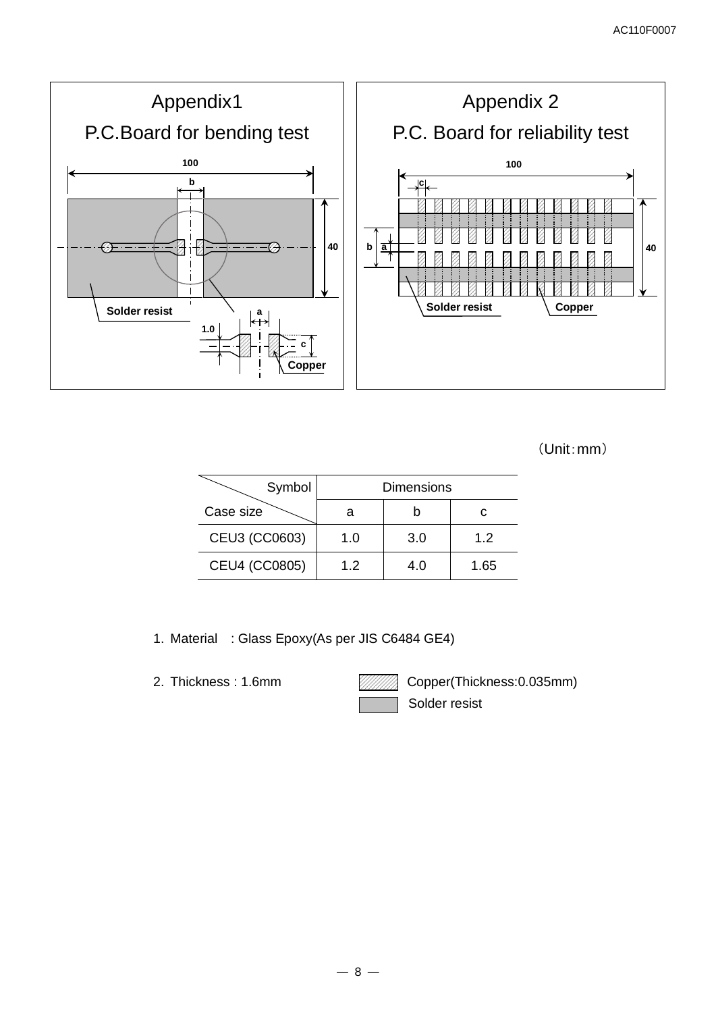

```
 (Unit:mm)
```

| Symbol        |     | <b>Dimensions</b> |      |
|---------------|-----|-------------------|------|
| Case size     |     |                   |      |
| CEU3 (CC0603) | 1.0 | 3.0               | 1.2  |
| CEU4 (CC0805) | 1.2 | 4.0               | 1.65 |

- 1. Material : Glass Epoxy(As per JIS C6484 GE4)
- 

2. Thickness: 1.6mm **Copper(Thickness: 0.035mm)** Solder resist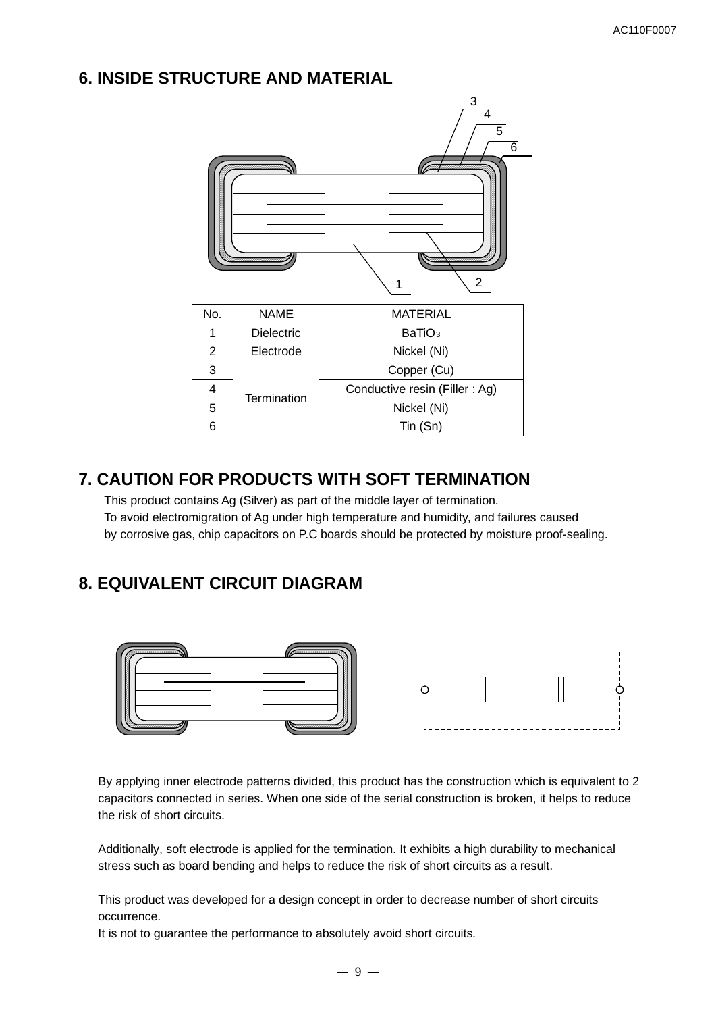# **6. INSIDE STRUCTURE AND MATERIAL**



|   | <b>LIECIJOUE</b> | <b>INICKEL (INI)</b>          |
|---|------------------|-------------------------------|
| 3 |                  | Copper (Cu)                   |
|   | Termination      | Conductive resin (Filler: Ag) |
| 5 |                  | Nickel (Ni)                   |
| 6 |                  | Tin (Sn)                      |

# **7. CAUTION FOR PRODUCTS WITH SOFT TERMINATION**

This product contains Ag (Silver) as part of the middle layer of termination. To avoid electromigration of Ag under high temperature and humidity, and failures caused by corrosive gas, chip capacitors on P.C boards should be protected by moisture proof-sealing.

# **8. EQUIVALENT CIRCUIT DIAGRAM**



By applying inner electrode patterns divided, this product has the construction which is equivalent to 2 capacitors connected in series. When one side of the serial construction is broken, it helps to reduce the risk of short circuits.

Additionally, soft electrode is applied for the termination. It exhibits a high durability to mechanical stress such as board bending and helps to reduce the risk of short circuits as a result.

This product was developed for a design concept in order to decrease number of short circuits occurrence.

It is not to guarantee the performance to absolutely avoid short circuits.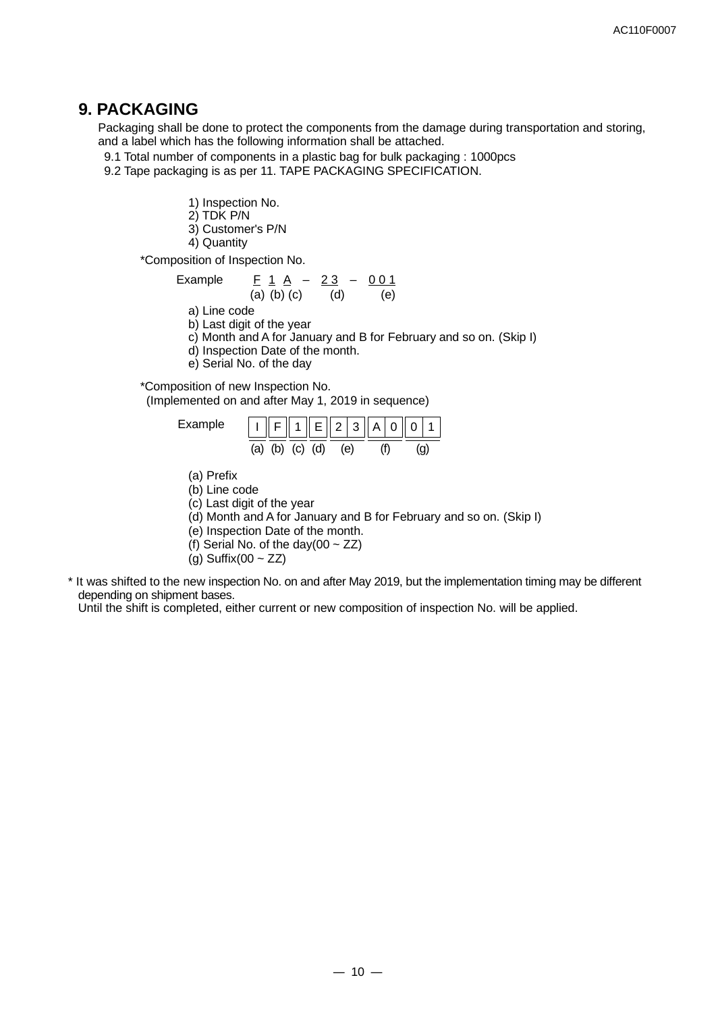## **9. PACKAGING**

Packaging shall be done to protect the components from the damage during transportation and storing, and a label which has the following information shall be attached.

9.1 Total number of components in a plastic bag for bulk packaging : 1000pcs

9.2 Tape packaging is as per 11. TAPE PACKAGING SPECIFICATION.

1) Inspection No.

- 2) TDK P/N
- 3) Customer's P/N
- 4) Quantity

\*Composition of Inspection No.

Example 
$$
\frac{F}{(a)} = \frac{1}{b} = \frac{A}{c} = \frac{23}{(d)} = \frac{0.01}{(e)}
$$

a) Line code

- b) Last digit of the year
- c) Month and A for January and B for February and so on. (Skip I)

d) Inspection Date of the month.

e) Serial No. of the day

\*Composition of new Inspection No.

(Implemented on and after May 1, 2019 in sequence)



(a) Prefix

(b) Line code

(c) Last digit of the year

- (d) Month and A for January and B for February and so on. (Skip I)
- (e) Inspection Date of the month.
- (f) Serial No. of the day(00  $\sim$  ZZ)
- $(g)$  Suffix(00 ~ ZZ)
- \* It was shifted to the new inspection No. on and after May 2019, but the implementation timing may be different depending on shipment bases.

Until the shift is completed, either current or new composition of inspection No. will be applied.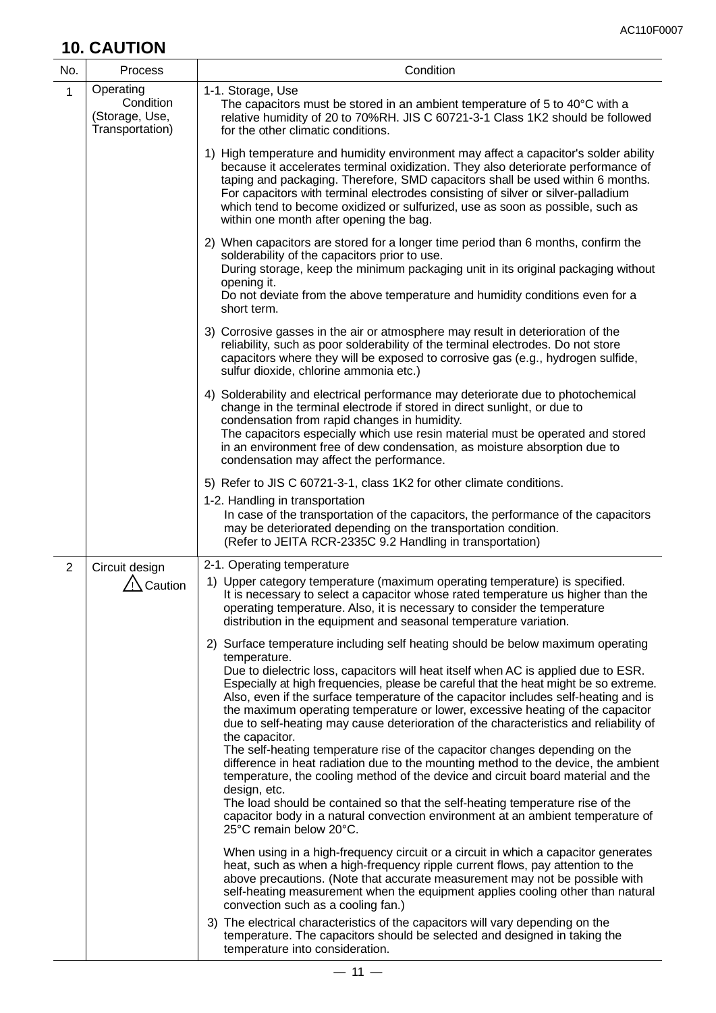# **10. CAUTION**

| No.            | <b>Process</b>                                              | Condition                                                                                                                                                                                                                                                                                                                                                                                                                                                                                                                                                                                                                                                                                                                                                                                                                                                                                                                                                                                                                                                                                                                                                                                                                                                                                                                                                                                                                                                                                                                                                                                                                                                                                                                                                                                                                                                                                                                                                                    |
|----------------|-------------------------------------------------------------|------------------------------------------------------------------------------------------------------------------------------------------------------------------------------------------------------------------------------------------------------------------------------------------------------------------------------------------------------------------------------------------------------------------------------------------------------------------------------------------------------------------------------------------------------------------------------------------------------------------------------------------------------------------------------------------------------------------------------------------------------------------------------------------------------------------------------------------------------------------------------------------------------------------------------------------------------------------------------------------------------------------------------------------------------------------------------------------------------------------------------------------------------------------------------------------------------------------------------------------------------------------------------------------------------------------------------------------------------------------------------------------------------------------------------------------------------------------------------------------------------------------------------------------------------------------------------------------------------------------------------------------------------------------------------------------------------------------------------------------------------------------------------------------------------------------------------------------------------------------------------------------------------------------------------------------------------------------------------|
| $\mathbf{1}$   | Operating<br>Condition<br>(Storage, Use,<br>Transportation) | 1-1. Storage, Use<br>The capacitors must be stored in an ambient temperature of 5 to 40°C with a<br>relative humidity of 20 to 70%RH. JIS C 60721-3-1 Class 1K2 should be followed<br>for the other climatic conditions.                                                                                                                                                                                                                                                                                                                                                                                                                                                                                                                                                                                                                                                                                                                                                                                                                                                                                                                                                                                                                                                                                                                                                                                                                                                                                                                                                                                                                                                                                                                                                                                                                                                                                                                                                     |
|                |                                                             | 1) High temperature and humidity environment may affect a capacitor's solder ability<br>because it accelerates terminal oxidization. They also deteriorate performance of<br>taping and packaging. Therefore, SMD capacitors shall be used within 6 months.<br>For capacitors with terminal electrodes consisting of silver or silver-palladium<br>which tend to become oxidized or sulfurized, use as soon as possible, such as<br>within one month after opening the bag.                                                                                                                                                                                                                                                                                                                                                                                                                                                                                                                                                                                                                                                                                                                                                                                                                                                                                                                                                                                                                                                                                                                                                                                                                                                                                                                                                                                                                                                                                                  |
|                |                                                             | 2) When capacitors are stored for a longer time period than 6 months, confirm the<br>solderability of the capacitors prior to use.<br>During storage, keep the minimum packaging unit in its original packaging without<br>opening it.<br>Do not deviate from the above temperature and humidity conditions even for a<br>short term.                                                                                                                                                                                                                                                                                                                                                                                                                                                                                                                                                                                                                                                                                                                                                                                                                                                                                                                                                                                                                                                                                                                                                                                                                                                                                                                                                                                                                                                                                                                                                                                                                                        |
|                |                                                             | 3) Corrosive gasses in the air or atmosphere may result in deterioration of the<br>reliability, such as poor solderability of the terminal electrodes. Do not store<br>capacitors where they will be exposed to corrosive gas (e.g., hydrogen sulfide,<br>sulfur dioxide, chlorine ammonia etc.)                                                                                                                                                                                                                                                                                                                                                                                                                                                                                                                                                                                                                                                                                                                                                                                                                                                                                                                                                                                                                                                                                                                                                                                                                                                                                                                                                                                                                                                                                                                                                                                                                                                                             |
|                |                                                             | 4) Solderability and electrical performance may deteriorate due to photochemical<br>change in the terminal electrode if stored in direct sunlight, or due to<br>condensation from rapid changes in humidity.<br>The capacitors especially which use resin material must be operated and stored<br>in an environment free of dew condensation, as moisture absorption due to<br>condensation may affect the performance.                                                                                                                                                                                                                                                                                                                                                                                                                                                                                                                                                                                                                                                                                                                                                                                                                                                                                                                                                                                                                                                                                                                                                                                                                                                                                                                                                                                                                                                                                                                                                      |
|                |                                                             | 5) Refer to JIS C 60721-3-1, class 1K2 for other climate conditions.<br>1-2. Handling in transportation<br>In case of the transportation of the capacitors, the performance of the capacitors<br>may be deteriorated depending on the transportation condition.<br>(Refer to JEITA RCR-2335C 9.2 Handling in transportation)                                                                                                                                                                                                                                                                                                                                                                                                                                                                                                                                                                                                                                                                                                                                                                                                                                                                                                                                                                                                                                                                                                                                                                                                                                                                                                                                                                                                                                                                                                                                                                                                                                                 |
| $\overline{2}$ | Circuit design<br>Caution                                   | 2-1. Operating temperature<br>1) Upper category temperature (maximum operating temperature) is specified.<br>It is necessary to select a capacitor whose rated temperature us higher than the<br>operating temperature. Also, it is necessary to consider the temperature<br>distribution in the equipment and seasonal temperature variation.<br>2) Surface temperature including self heating should be below maximum operating<br>temperature.<br>Due to dielectric loss, capacitors will heat itself when AC is applied due to ESR.<br>Especially at high frequencies, please be careful that the heat might be so extreme.<br>Also, even if the surface temperature of the capacitor includes self-heating and is<br>the maximum operating temperature or lower, excessive heating of the capacitor<br>due to self-heating may cause deterioration of the characteristics and reliability of<br>the capacitor.<br>The self-heating temperature rise of the capacitor changes depending on the<br>difference in heat radiation due to the mounting method to the device, the ambient<br>temperature, the cooling method of the device and circuit board material and the<br>design, etc.<br>The load should be contained so that the self-heating temperature rise of the<br>capacitor body in a natural convection environment at an ambient temperature of<br>25°C remain below 20°C.<br>When using in a high-frequency circuit or a circuit in which a capacitor generates<br>heat, such as when a high-frequency ripple current flows, pay attention to the<br>above precautions. (Note that accurate measurement may not be possible with<br>self-heating measurement when the equipment applies cooling other than natural<br>convection such as a cooling fan.)<br>3) The electrical characteristics of the capacitors will vary depending on the<br>temperature. The capacitors should be selected and designed in taking the<br>temperature into consideration. |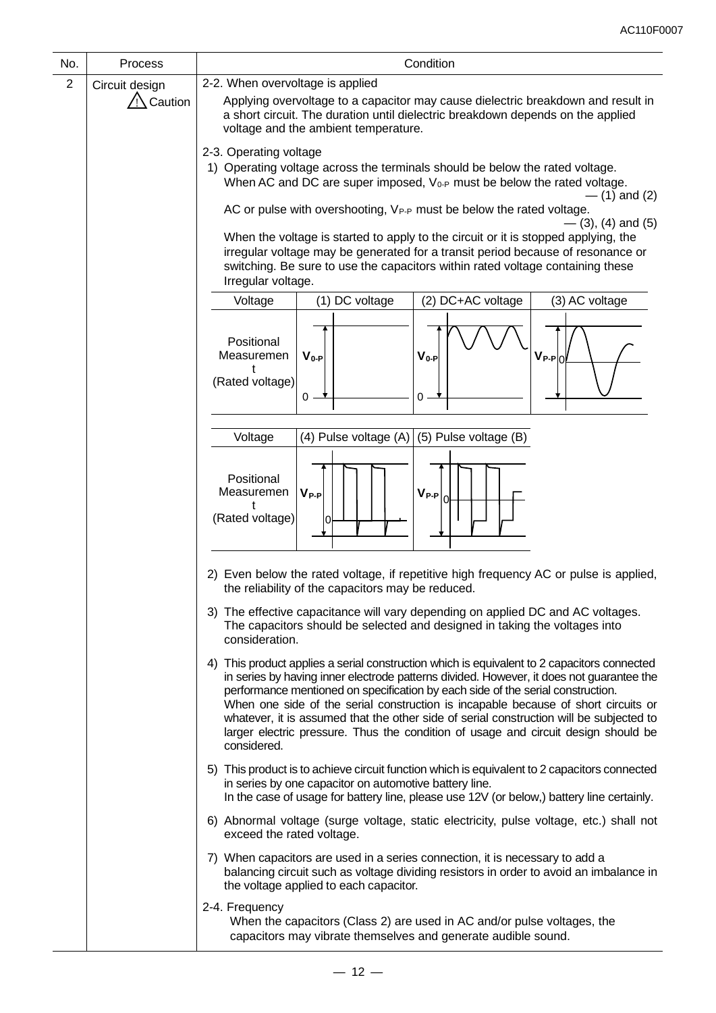| No.              | Process        | Condition                                                                                                                                                                                                                                                                                                                                                                                                                                                                                                                                                        |  |  |  |
|------------------|----------------|------------------------------------------------------------------------------------------------------------------------------------------------------------------------------------------------------------------------------------------------------------------------------------------------------------------------------------------------------------------------------------------------------------------------------------------------------------------------------------------------------------------------------------------------------------------|--|--|--|
| $\boldsymbol{2}$ | Circuit design | 2-2. When overvoltage is applied                                                                                                                                                                                                                                                                                                                                                                                                                                                                                                                                 |  |  |  |
|                  | Caution        | Applying overvoltage to a capacitor may cause dielectric breakdown and result in<br>a short circuit. The duration until dielectric breakdown depends on the applied<br>voltage and the ambient temperature.                                                                                                                                                                                                                                                                                                                                                      |  |  |  |
|                  |                | 2-3. Operating voltage                                                                                                                                                                                                                                                                                                                                                                                                                                                                                                                                           |  |  |  |
|                  |                | 1) Operating voltage across the terminals should be below the rated voltage.<br>When AC and DC are super imposed, V <sub>0-P</sub> must be below the rated voltage.<br>$-$ (1) and (2)                                                                                                                                                                                                                                                                                                                                                                           |  |  |  |
|                  |                | AC or pulse with overshooting, V <sub>P-P</sub> must be below the rated voltage.                                                                                                                                                                                                                                                                                                                                                                                                                                                                                 |  |  |  |
|                  |                | $-$ (3), (4) and (5)<br>When the voltage is started to apply to the circuit or it is stopped applying, the<br>irregular voltage may be generated for a transit period because of resonance or<br>switching. Be sure to use the capacitors within rated voltage containing these<br>Irregular voltage.                                                                                                                                                                                                                                                            |  |  |  |
|                  |                | (2) DC+AC voltage<br>Voltage<br>(1) DC voltage<br>(3) AC voltage                                                                                                                                                                                                                                                                                                                                                                                                                                                                                                 |  |  |  |
|                  |                | Positional<br>Measuremen<br>$V_{0-P}$<br>$V_{P-P 0}$<br>$V_{0-P}$<br>(Rated voltage)<br>0<br>Ο.                                                                                                                                                                                                                                                                                                                                                                                                                                                                  |  |  |  |
|                  |                |                                                                                                                                                                                                                                                                                                                                                                                                                                                                                                                                                                  |  |  |  |
|                  |                | (5) Pulse voltage (B)<br>Voltage<br>(4) Pulse voltage (A)                                                                                                                                                                                                                                                                                                                                                                                                                                                                                                        |  |  |  |
|                  |                | Positional<br>$V_{P-P}$<br>$V_{P-P}$<br>Measuremen<br>lol<br>ŧ<br>(Rated voltage)                                                                                                                                                                                                                                                                                                                                                                                                                                                                                |  |  |  |
|                  |                | 2) Even below the rated voltage, if repetitive high frequency AC or pulse is applied,<br>the reliability of the capacitors may be reduced.                                                                                                                                                                                                                                                                                                                                                                                                                       |  |  |  |
|                  |                | 3) The effective capacitance will vary depending on applied DC and AC voltages.<br>The capacitors should be selected and designed in taking the voltages into<br>consideration.                                                                                                                                                                                                                                                                                                                                                                                  |  |  |  |
|                  |                | 4) This product applies a serial construction which is equivalent to 2 capacitors connected<br>in series by having inner electrode patterns divided. However, it does not guarantee the<br>performance mentioned on specification by each side of the serial construction.<br>When one side of the serial construction is incapable because of short circuits or<br>whatever, it is assumed that the other side of serial construction will be subjected to<br>larger electric pressure. Thus the condition of usage and circuit design should be<br>considered. |  |  |  |
|                  |                | 5) This product is to achieve circuit function which is equivalent to 2 capacitors connected<br>in series by one capacitor on automotive battery line.<br>In the case of usage for battery line, please use 12V (or below,) battery line certainly.                                                                                                                                                                                                                                                                                                              |  |  |  |
|                  |                | 6) Abnormal voltage (surge voltage, static electricity, pulse voltage, etc.) shall not<br>exceed the rated voltage.                                                                                                                                                                                                                                                                                                                                                                                                                                              |  |  |  |
|                  |                | 7) When capacitors are used in a series connection, it is necessary to add a<br>balancing circuit such as voltage dividing resistors in order to avoid an imbalance in<br>the voltage applied to each capacitor.                                                                                                                                                                                                                                                                                                                                                 |  |  |  |
|                  |                | 2-4. Frequency<br>When the capacitors (Class 2) are used in AC and/or pulse voltages, the<br>capacitors may vibrate themselves and generate audible sound.                                                                                                                                                                                                                                                                                                                                                                                                       |  |  |  |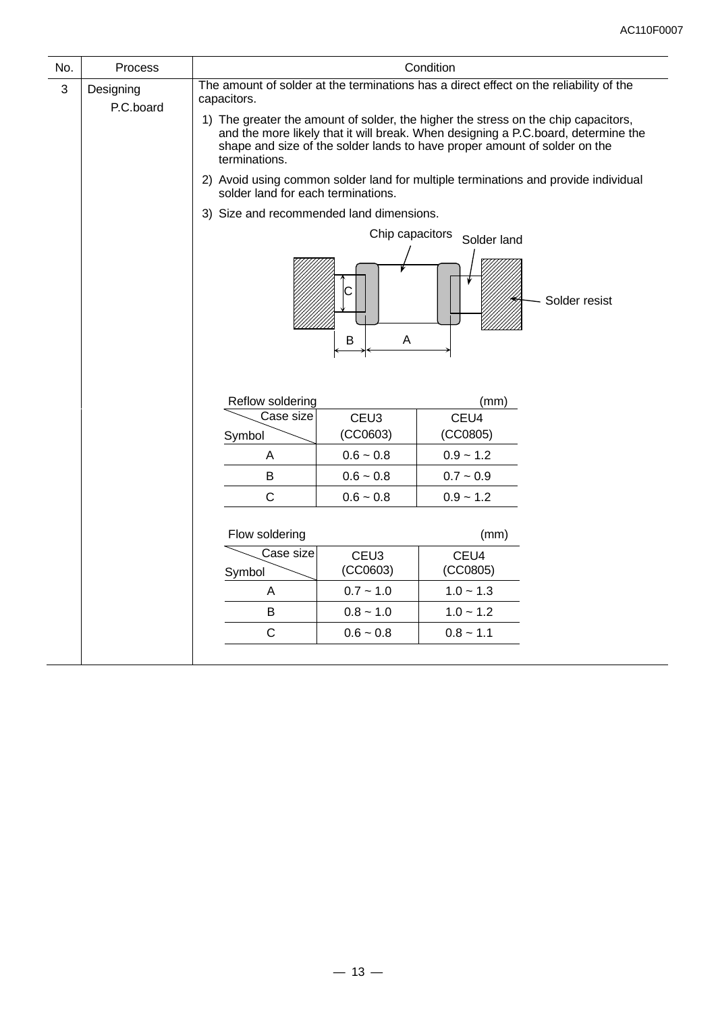| No. | Process                |                                                                                                       |                                                                                                                                                                                                                                                      | Condition                  |                                                                                    |  |  |
|-----|------------------------|-------------------------------------------------------------------------------------------------------|------------------------------------------------------------------------------------------------------------------------------------------------------------------------------------------------------------------------------------------------------|----------------------------|------------------------------------------------------------------------------------|--|--|
| 3   | Designing<br>P.C.board | The amount of solder at the terminations has a direct effect on the reliability of the<br>capacitors. |                                                                                                                                                                                                                                                      |                            |                                                                                    |  |  |
|     |                        | terminations.                                                                                         | 1) The greater the amount of solder, the higher the stress on the chip capacitors,<br>and the more likely that it will break. When designing a P.C.board, determine the<br>shape and size of the solder lands to have proper amount of solder on the |                            |                                                                                    |  |  |
|     |                        | solder land for each terminations.                                                                    |                                                                                                                                                                                                                                                      |                            | 2) Avoid using common solder land for multiple terminations and provide individual |  |  |
|     |                        | 3) Size and recommended land dimensions.                                                              |                                                                                                                                                                                                                                                      |                            |                                                                                    |  |  |
|     |                        |                                                                                                       | Chip capacitors                                                                                                                                                                                                                                      | Solder land                |                                                                                    |  |  |
|     |                        | С<br>B<br>Α                                                                                           |                                                                                                                                                                                                                                                      |                            | Solder resist                                                                      |  |  |
|     |                        | Reflow soldering                                                                                      |                                                                                                                                                                                                                                                      | (mm)                       |                                                                                    |  |  |
|     |                        | Case size                                                                                             | CEU <sub>3</sub>                                                                                                                                                                                                                                     | CEU4                       |                                                                                    |  |  |
|     |                        | Symbol                                                                                                | (CCO603)                                                                                                                                                                                                                                             | (CCO805)                   |                                                                                    |  |  |
|     |                        | A<br>B                                                                                                | $0.6 - 0.8$<br>$0.6 - 0.8$                                                                                                                                                                                                                           | $0.9 - 1.2$<br>$0.7 - 0.9$ |                                                                                    |  |  |
|     |                        | $\mathsf{C}$                                                                                          | $0.6 - 0.8$                                                                                                                                                                                                                                          | $0.9 - 1.2$                |                                                                                    |  |  |
|     |                        |                                                                                                       |                                                                                                                                                                                                                                                      |                            |                                                                                    |  |  |
|     |                        | Flow soldering                                                                                        |                                                                                                                                                                                                                                                      | (mm)                       |                                                                                    |  |  |
|     |                        | Case size<br>Symbol                                                                                   | CEU <sub>3</sub><br>CEU4<br>(CCO603)<br>(CCO805)                                                                                                                                                                                                     |                            |                                                                                    |  |  |
|     |                        | Α                                                                                                     | $0.7 - 1.0$                                                                                                                                                                                                                                          | $1.0 - 1.3$                |                                                                                    |  |  |
|     |                        | B                                                                                                     | $0.8 - 1.0$                                                                                                                                                                                                                                          | $1.0 - 1.2$                |                                                                                    |  |  |
|     |                        | $\mathsf{C}$                                                                                          | $0.6 - 0.8$                                                                                                                                                                                                                                          | $0.8 - 1.1$                |                                                                                    |  |  |
|     |                        |                                                                                                       |                                                                                                                                                                                                                                                      |                            |                                                                                    |  |  |

 $\overline{\phantom{a}}$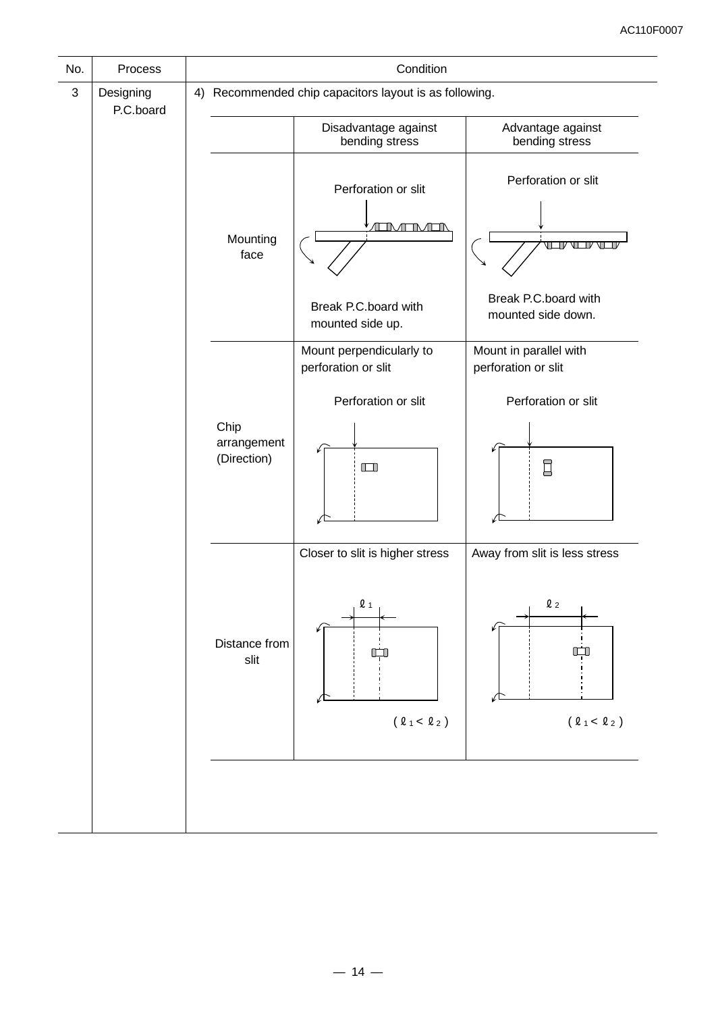| No.          | Process                |                                    | Condition                                                                |                                                                              |
|--------------|------------------------|------------------------------------|--------------------------------------------------------------------------|------------------------------------------------------------------------------|
| $\mathbf{3}$ | Designing<br>P.C.board |                                    | 4) Recommended chip capacitors layout is as following.                   |                                                                              |
|              |                        |                                    | Disadvantage against<br>bending stress                                   | Advantage against<br>bending stress                                          |
|              | Mounting<br>face       |                                    | Perforation or slit<br>ÆNÆNÆN                                            | Perforation or slit<br>VIII<br>T                                             |
|              |                        |                                    | Break P.C.board with<br>mounted side up.                                 | Break P.C.board with<br>mounted side down.                                   |
|              |                        |                                    | Mount perpendicularly to<br>perforation or slit                          | Mount in parallel with<br>perforation or slit                                |
|              |                        | Chip<br>arrangement<br>(Direction) | Perforation or slit<br>$\Box$                                            | Perforation or slit<br>$\Box$                                                |
|              |                        | Distance from<br>slit              | Closer to slit is higher stress<br>$\mathbf{\Omega}$ 1<br>П<br>(01 < 02) | Away from slit is less stress<br>$\mathbf{\ell}$ $_2$<br>$(\ell_1 < \ell_2)$ |
|              |                        |                                    |                                                                          |                                                                              |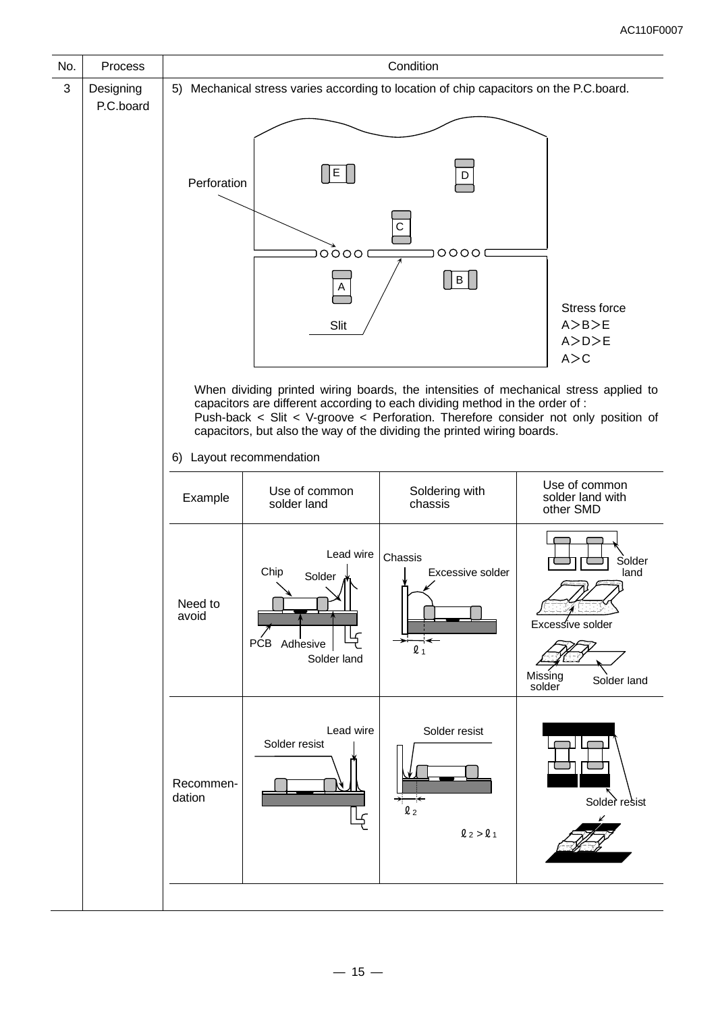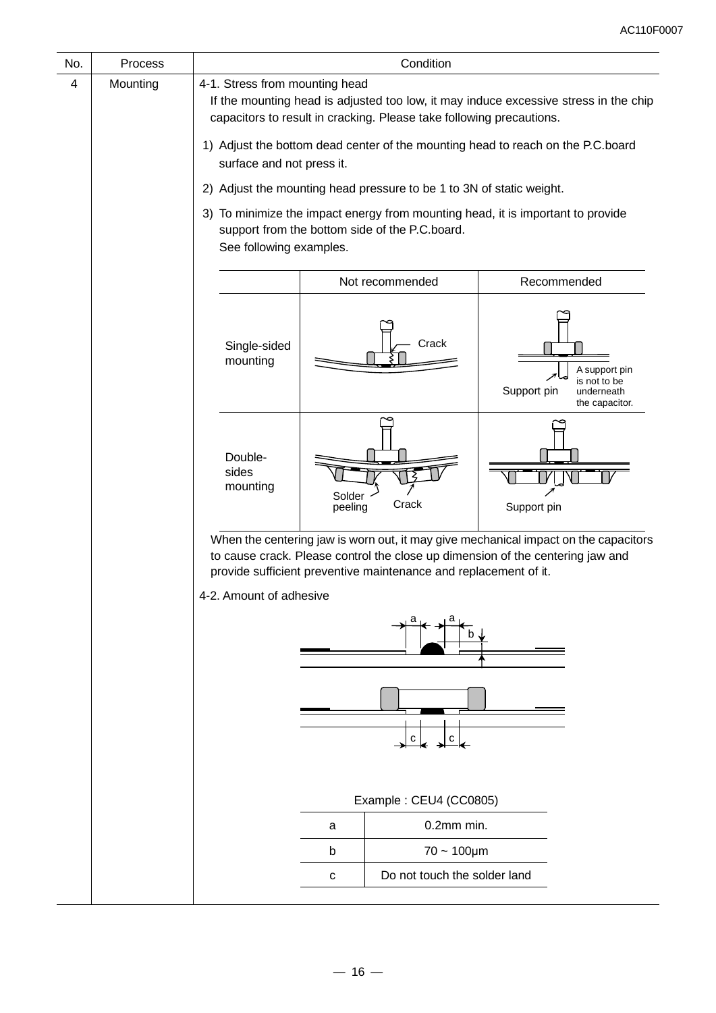| No. | Process  |                                                                                                                                                                                                                                           |                   | Condition                                                            |                                                                                                          |  |  |  |
|-----|----------|-------------------------------------------------------------------------------------------------------------------------------------------------------------------------------------------------------------------------------------------|-------------------|----------------------------------------------------------------------|----------------------------------------------------------------------------------------------------------|--|--|--|
| 4   | Mounting | 4-1. Stress from mounting head<br>If the mounting head is adjusted too low, it may induce excessive stress in the chip<br>capacitors to result in cracking. Please take following precautions.                                            |                   |                                                                      |                                                                                                          |  |  |  |
|     |          | surface and not press it.                                                                                                                                                                                                                 |                   |                                                                      | 1) Adjust the bottom dead center of the mounting head to reach on the P.C.board                          |  |  |  |
|     |          |                                                                                                                                                                                                                                           |                   | 2) Adjust the mounting head pressure to be 1 to 3N of static weight. |                                                                                                          |  |  |  |
|     |          | 3)<br>See following examples.                                                                                                                                                                                                             |                   | support from the bottom side of the P.C.board.                       | To minimize the impact energy from mounting head, it is important to provide                             |  |  |  |
|     |          |                                                                                                                                                                                                                                           |                   | Not recommended                                                      | Recommended                                                                                              |  |  |  |
|     |          | Single-sided<br>mounting                                                                                                                                                                                                                  |                   | Crack                                                                | A support pin<br>$\overline{\phantom{a}}$<br>is not to be<br>Support pin<br>underneath<br>the capacitor. |  |  |  |
|     |          | Double-<br>sides<br>mounting                                                                                                                                                                                                              | Solder<br>peeling | Crack                                                                | Support pin                                                                                              |  |  |  |
|     |          | When the centering jaw is worn out, it may give mechanical impact on the capacitors<br>to cause crack. Please control the close up dimension of the centering jaw and<br>provide sufficient preventive maintenance and replacement of it. |                   |                                                                      |                                                                                                          |  |  |  |
|     |          | 4-2. Amount of adhesive                                                                                                                                                                                                                   |                   |                                                                      |                                                                                                          |  |  |  |
|     |          |                                                                                                                                                                                                                                           |                   |                                                                      |                                                                                                          |  |  |  |
|     |          |                                                                                                                                                                                                                                           | с<br>с            |                                                                      |                                                                                                          |  |  |  |
|     |          |                                                                                                                                                                                                                                           |                   | Example: CEU4 (CC0805)                                               |                                                                                                          |  |  |  |
|     |          |                                                                                                                                                                                                                                           | a                 | $0.2$ mm min.                                                        |                                                                                                          |  |  |  |
|     |          |                                                                                                                                                                                                                                           | b                 | $70 - 100 \mu m$                                                     |                                                                                                          |  |  |  |
|     |          |                                                                                                                                                                                                                                           | C                 | Do not touch the solder land                                         |                                                                                                          |  |  |  |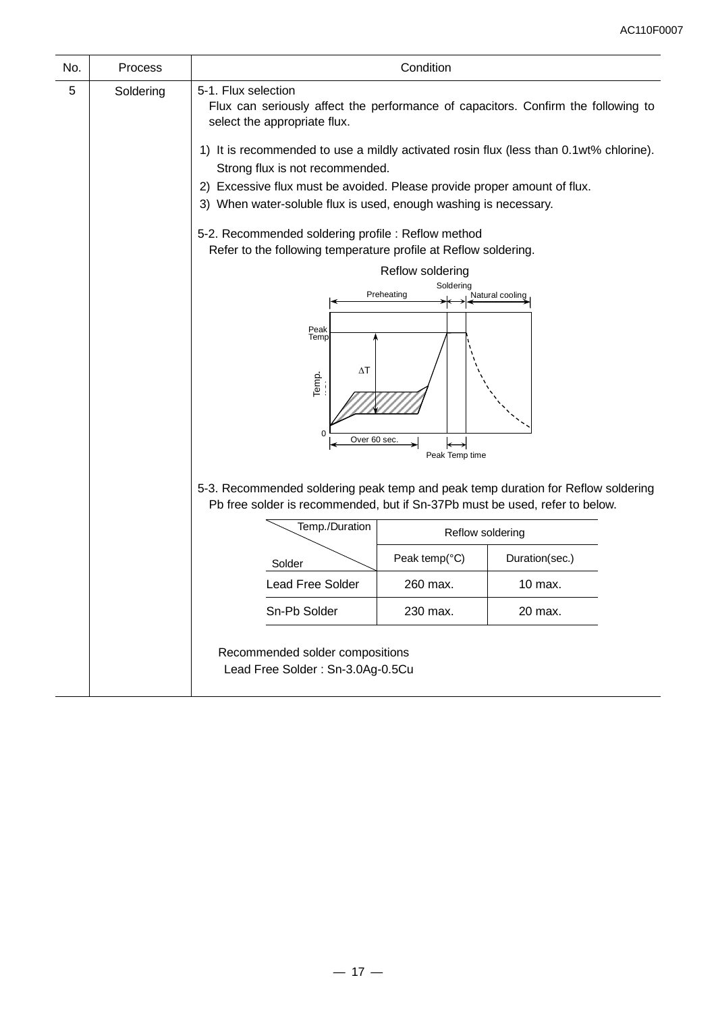| No. | Process                             | Condition                                                                                                                                                                                             |                         |                 |  |  |  |  |
|-----|-------------------------------------|-------------------------------------------------------------------------------------------------------------------------------------------------------------------------------------------------------|-------------------------|-----------------|--|--|--|--|
| 5   | Soldering                           | 5-1. Flux selection<br>Flux can seriously affect the performance of capacitors. Confirm the following to<br>select the appropriate flux.                                                              |                         |                 |  |  |  |  |
|     |                                     | 1) It is recommended to use a mildly activated rosin flux (less than 0.1wt% chlorine).<br>Strong flux is not recommended.<br>2) Excessive flux must be avoided. Please provide proper amount of flux. |                         |                 |  |  |  |  |
|     |                                     | 3) When water-soluble flux is used, enough washing is necessary.<br>5-2. Recommended soldering profile : Reflow method<br>Refer to the following temperature profile at Reflow soldering.             |                         |                 |  |  |  |  |
|     |                                     |                                                                                                                                                                                                       | Reflow soldering        |                 |  |  |  |  |
|     |                                     |                                                                                                                                                                                                       | Soldering<br>Preheating | Natural cooling |  |  |  |  |
|     |                                     |                                                                                                                                                                                                       |                         |                 |  |  |  |  |
|     |                                     | Peak<br>Temp<br>$\Delta T$<br>Temp.<br>O<br>Over 60 sec.                                                                                                                                              | Peak Temp time          |                 |  |  |  |  |
|     |                                     | 5-3. Recommended soldering peak temp and peak temp duration for Reflow soldering<br>Pb free solder is recommended, but if Sn-37Pb must be used, refer to below.                                       |                         |                 |  |  |  |  |
|     |                                     | Temp./Duration                                                                                                                                                                                        | Reflow soldering        |                 |  |  |  |  |
|     |                                     |                                                                                                                                                                                                       |                         |                 |  |  |  |  |
|     |                                     | Peak temp(°C)<br>Duration(sec.)<br>Solder<br><b>Lead Free Solder</b><br>260 max.<br>10 max.                                                                                                           |                         |                 |  |  |  |  |
|     |                                     |                                                                                                                                                                                                       |                         |                 |  |  |  |  |
|     | Sn-Pb Solder<br>230 max.<br>20 max. |                                                                                                                                                                                                       |                         |                 |  |  |  |  |
|     |                                     | Recommended solder compositions<br>Lead Free Solder: Sn-3.0Ag-0.5Cu                                                                                                                                   |                         |                 |  |  |  |  |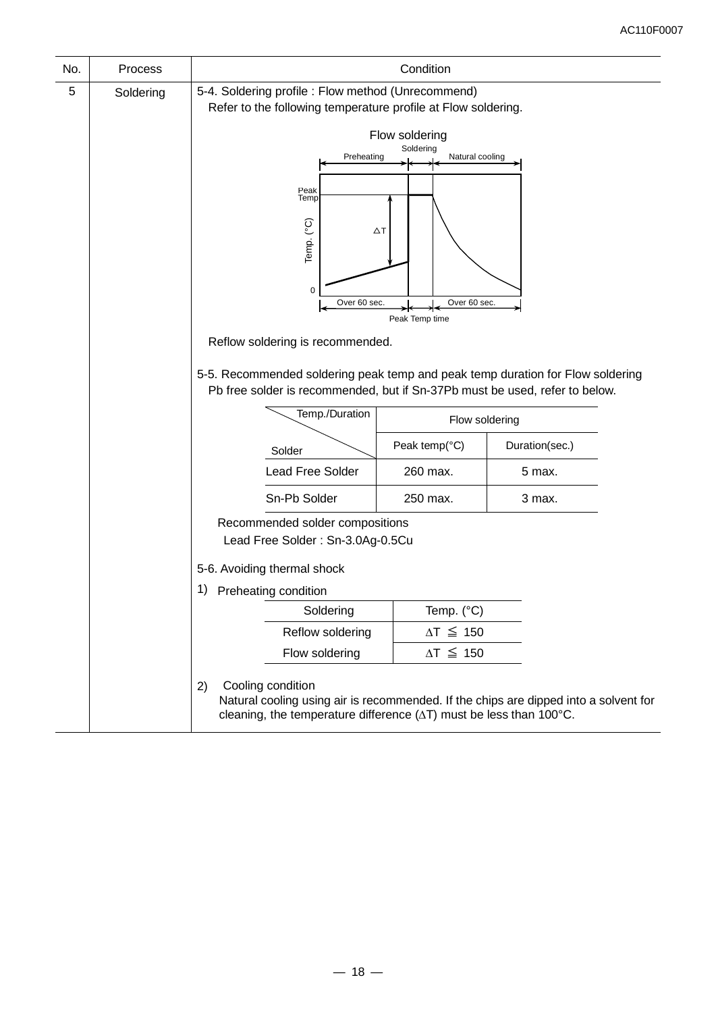| No. | Process   | Condition                                                                                                                                                                                                                                                                                                                                                            |  |  |  |  |  |
|-----|-----------|----------------------------------------------------------------------------------------------------------------------------------------------------------------------------------------------------------------------------------------------------------------------------------------------------------------------------------------------------------------------|--|--|--|--|--|
| 5   | Soldering | 5-4. Soldering profile : Flow method (Unrecommend)<br>Refer to the following temperature profile at Flow soldering.                                                                                                                                                                                                                                                  |  |  |  |  |  |
|     |           | Flow soldering<br>Soldering<br>Preheating<br>Natural cooling<br>Peak<br>Temp<br>Temp. (°C)<br>$\Delta T$<br>0<br>Over 60 sec.<br>Over 60 sec.<br>Peak Temp time<br>Reflow soldering is recommended.<br>5-5. Recommended soldering peak temp and peak temp duration for Flow soldering<br>Pb free solder is recommended, but if Sn-37Pb must be used, refer to below. |  |  |  |  |  |
|     |           | Temp./Duration<br>Flow soldering                                                                                                                                                                                                                                                                                                                                     |  |  |  |  |  |
|     |           | Peak temp(°C)<br>Duration(sec.)<br>Solder                                                                                                                                                                                                                                                                                                                            |  |  |  |  |  |
|     |           | Lead Free Solder<br>260 max.<br>5 max.                                                                                                                                                                                                                                                                                                                               |  |  |  |  |  |
|     |           | Sn-Pb Solder<br>250 max.<br>3 max.                                                                                                                                                                                                                                                                                                                                   |  |  |  |  |  |
|     |           | Recommended solder compositions<br>Lead Free Solder: Sn-3.0Ag-0.5Cu                                                                                                                                                                                                                                                                                                  |  |  |  |  |  |
|     |           | 5-6. Avoiding thermal shock                                                                                                                                                                                                                                                                                                                                          |  |  |  |  |  |
|     |           | 1) Preheating condition                                                                                                                                                                                                                                                                                                                                              |  |  |  |  |  |
|     |           | Temp. (°C)<br>Soldering                                                                                                                                                                                                                                                                                                                                              |  |  |  |  |  |
|     |           | $\Delta T \leq 150$<br>Reflow soldering<br>$\Delta T \leq 150$<br>Flow soldering                                                                                                                                                                                                                                                                                     |  |  |  |  |  |
|     |           |                                                                                                                                                                                                                                                                                                                                                                      |  |  |  |  |  |
|     |           | Cooling condition<br>2)<br>Natural cooling using air is recommended. If the chips are dipped into a solvent for<br>cleaning, the temperature difference $(\Delta T)$ must be less than 100 $^{\circ}$ C.                                                                                                                                                             |  |  |  |  |  |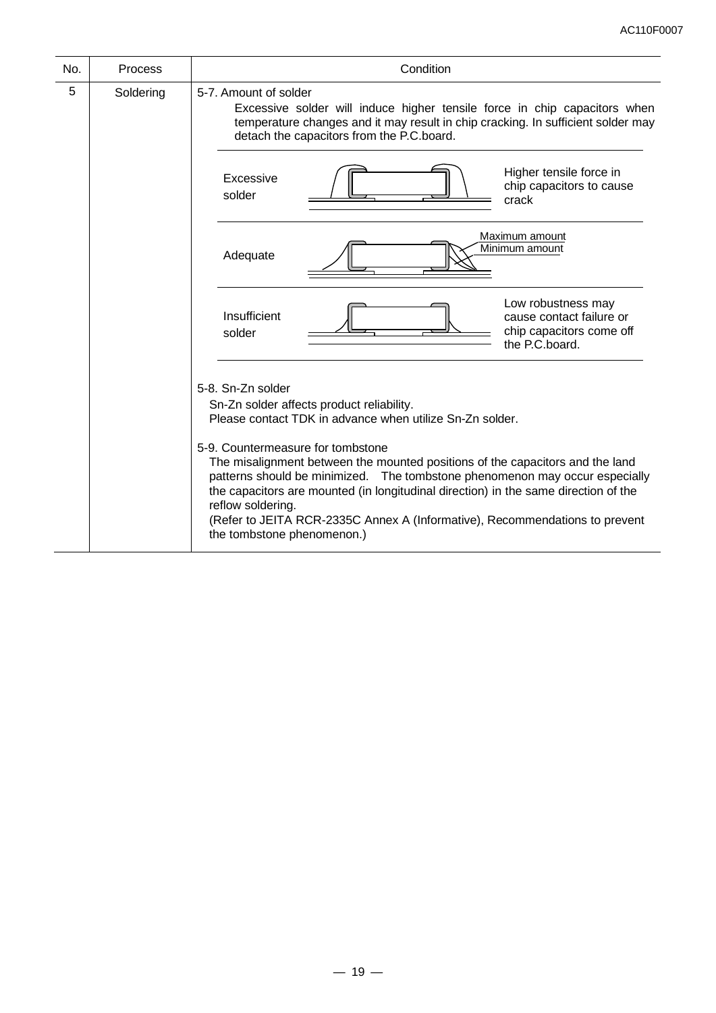| No. | Process                                                                                                                                                                                                                             | Condition                                                                                                                                                                                                                                                                                                                                                                                                                                                                                                                                                |  |  |  |  |  |
|-----|-------------------------------------------------------------------------------------------------------------------------------------------------------------------------------------------------------------------------------------|----------------------------------------------------------------------------------------------------------------------------------------------------------------------------------------------------------------------------------------------------------------------------------------------------------------------------------------------------------------------------------------------------------------------------------------------------------------------------------------------------------------------------------------------------------|--|--|--|--|--|
| 5   | 5-7. Amount of solder<br>Excessive solder will induce higher tensile force in chip capacitors when<br>temperature changes and it may result in chip cracking. In sufficient solder may<br>detach the capacitors from the P.C.board. |                                                                                                                                                                                                                                                                                                                                                                                                                                                                                                                                                          |  |  |  |  |  |
|     |                                                                                                                                                                                                                                     | Higher tensile force in<br>Excessive<br>chip capacitors to cause<br>solder<br>crack                                                                                                                                                                                                                                                                                                                                                                                                                                                                      |  |  |  |  |  |
|     |                                                                                                                                                                                                                                     | Maximum amount<br>Minimum amount<br>Adequate                                                                                                                                                                                                                                                                                                                                                                                                                                                                                                             |  |  |  |  |  |
|     |                                                                                                                                                                                                                                     | Low robustness may<br>Insufficient<br>cause contact failure or<br>chip capacitors come off<br>solder<br>the P.C.board.                                                                                                                                                                                                                                                                                                                                                                                                                                   |  |  |  |  |  |
|     |                                                                                                                                                                                                                                     | 5-8. Sn-Zn solder<br>Sn-Zn solder affects product reliability.<br>Please contact TDK in advance when utilize Sn-Zn solder.<br>5-9. Countermeasure for tombstone<br>The misalignment between the mounted positions of the capacitors and the land<br>patterns should be minimized. The tombstone phenomenon may occur especially<br>the capacitors are mounted (in longitudinal direction) in the same direction of the<br>reflow soldering.<br>(Refer to JEITA RCR-2335C Annex A (Informative), Recommendations to prevent<br>the tombstone phenomenon.) |  |  |  |  |  |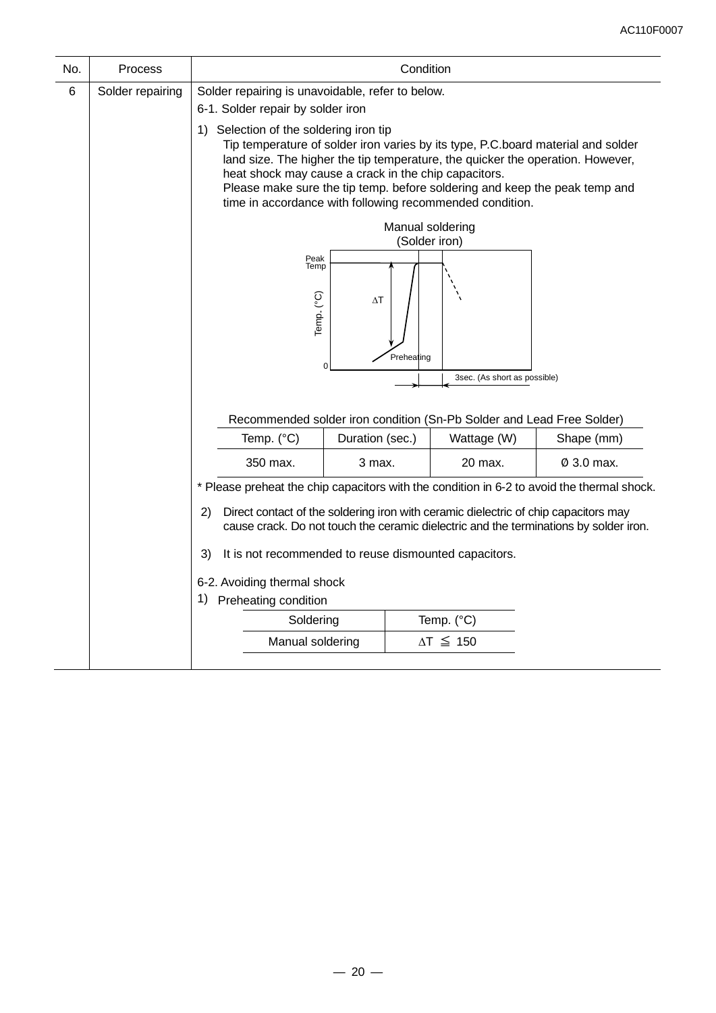| Process                                                                                                                                                                            | Condition                   |                                                                                                                                                                                                                                                  |                                                                                                                                                            |                                                                                                                                                                                                                                                                                                                                                                                                                                                             |  |  |  |
|------------------------------------------------------------------------------------------------------------------------------------------------------------------------------------|-----------------------------|--------------------------------------------------------------------------------------------------------------------------------------------------------------------------------------------------------------------------------------------------|------------------------------------------------------------------------------------------------------------------------------------------------------------|-------------------------------------------------------------------------------------------------------------------------------------------------------------------------------------------------------------------------------------------------------------------------------------------------------------------------------------------------------------------------------------------------------------------------------------------------------------|--|--|--|
| Solder repairing                                                                                                                                                                   |                             |                                                                                                                                                                                                                                                  |                                                                                                                                                            |                                                                                                                                                                                                                                                                                                                                                                                                                                                             |  |  |  |
|                                                                                                                                                                                    |                             | Tip temperature of solder iron varies by its type, P.C.board material and solder<br>land size. The higher the tip temperature, the quicker the operation. However,<br>Please make sure the tip temp. before soldering and keep the peak temp and |                                                                                                                                                            |                                                                                                                                                                                                                                                                                                                                                                                                                                                             |  |  |  |
|                                                                                                                                                                                    |                             |                                                                                                                                                                                                                                                  |                                                                                                                                                            |                                                                                                                                                                                                                                                                                                                                                                                                                                                             |  |  |  |
|                                                                                                                                                                                    | Temp. (°C)                  | Peak<br>Temp<br>$\Delta T$                                                                                                                                                                                                                       |                                                                                                                                                            |                                                                                                                                                                                                                                                                                                                                                                                                                                                             |  |  |  |
|                                                                                                                                                                                    |                             |                                                                                                                                                                                                                                                  | 3sec. (As short as possible)                                                                                                                               |                                                                                                                                                                                                                                                                                                                                                                                                                                                             |  |  |  |
|                                                                                                                                                                                    |                             |                                                                                                                                                                                                                                                  |                                                                                                                                                            |                                                                                                                                                                                                                                                                                                                                                                                                                                                             |  |  |  |
|                                                                                                                                                                                    |                             |                                                                                                                                                                                                                                                  |                                                                                                                                                            |                                                                                                                                                                                                                                                                                                                                                                                                                                                             |  |  |  |
|                                                                                                                                                                                    |                             |                                                                                                                                                                                                                                                  |                                                                                                                                                            | Shape (mm)                                                                                                                                                                                                                                                                                                                                                                                                                                                  |  |  |  |
|                                                                                                                                                                                    | 350 max.                    | 3 max.                                                                                                                                                                                                                                           | 20 max.                                                                                                                                                    | $\varnothing$ 3.0 max.                                                                                                                                                                                                                                                                                                                                                                                                                                      |  |  |  |
|                                                                                                                                                                                    |                             |                                                                                                                                                                                                                                                  |                                                                                                                                                            |                                                                                                                                                                                                                                                                                                                                                                                                                                                             |  |  |  |
| Direct contact of the soldering iron with ceramic dielectric of chip capacitors may<br>2)<br>cause crack. Do not touch the ceramic dielectric and the terminations by solder iron. |                             |                                                                                                                                                                                                                                                  |                                                                                                                                                            |                                                                                                                                                                                                                                                                                                                                                                                                                                                             |  |  |  |
|                                                                                                                                                                                    | 3)                          | It is not recommended to reuse dismounted capacitors.                                                                                                                                                                                            |                                                                                                                                                            |                                                                                                                                                                                                                                                                                                                                                                                                                                                             |  |  |  |
|                                                                                                                                                                                    | 6-2. Avoiding thermal shock |                                                                                                                                                                                                                                                  |                                                                                                                                                            |                                                                                                                                                                                                                                                                                                                                                                                                                                                             |  |  |  |
|                                                                                                                                                                                    |                             |                                                                                                                                                                                                                                                  |                                                                                                                                                            |                                                                                                                                                                                                                                                                                                                                                                                                                                                             |  |  |  |
|                                                                                                                                                                                    |                             |                                                                                                                                                                                                                                                  |                                                                                                                                                            |                                                                                                                                                                                                                                                                                                                                                                                                                                                             |  |  |  |
|                                                                                                                                                                                    |                             |                                                                                                                                                                                                                                                  |                                                                                                                                                            |                                                                                                                                                                                                                                                                                                                                                                                                                                                             |  |  |  |
|                                                                                                                                                                                    |                             | Temp. (°C)                                                                                                                                                                                                                                       | 6-1. Solder repair by solder iron<br>1) Selection of the soldering iron tip<br>Duration (sec.)<br>1) Preheating condition<br>Soldering<br>Manual soldering | Solder repairing is unavoidable, refer to below.<br>heat shock may cause a crack in the chip capacitors.<br>time in accordance with following recommended condition.<br>Manual soldering<br>(Solder iron)<br>Preheating<br>Recommended solder iron condition (Sn-Pb Solder and Lead Free Solder)<br>Wattage (W)<br>* Please preheat the chip capacitors with the condition in 6-2 to avoid the thermal shock.<br>Temp. $(^{\circ}C)$<br>$\Delta T \leq 150$ |  |  |  |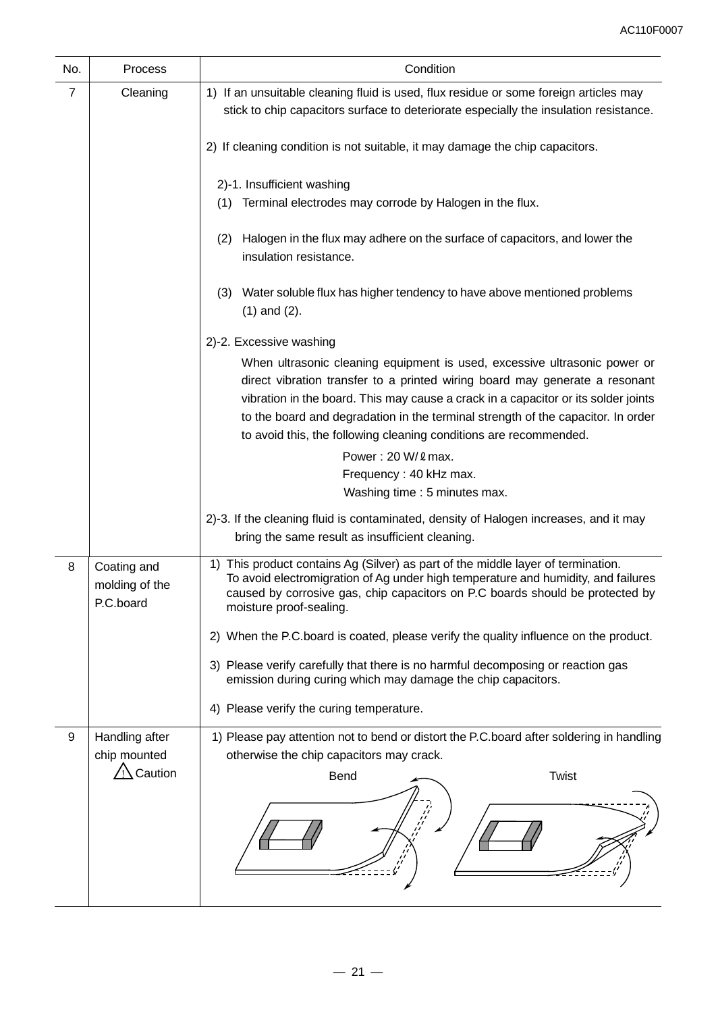| No.            | Process                                    | Condition                                                                                                                                                                                                                                                                                                                                                                                               |  |  |  |  |
|----------------|--------------------------------------------|---------------------------------------------------------------------------------------------------------------------------------------------------------------------------------------------------------------------------------------------------------------------------------------------------------------------------------------------------------------------------------------------------------|--|--|--|--|
| $\overline{7}$ | Cleaning                                   | 1) If an unsuitable cleaning fluid is used, flux residue or some foreign articles may<br>stick to chip capacitors surface to deteriorate especially the insulation resistance.                                                                                                                                                                                                                          |  |  |  |  |
|                |                                            | 2) If cleaning condition is not suitable, it may damage the chip capacitors.                                                                                                                                                                                                                                                                                                                            |  |  |  |  |
|                |                                            | 2)-1. Insufficient washing<br>Terminal electrodes may corrode by Halogen in the flux.<br>(1)                                                                                                                                                                                                                                                                                                            |  |  |  |  |
|                |                                            | Halogen in the flux may adhere on the surface of capacitors, and lower the<br>(2)<br>insulation resistance.                                                                                                                                                                                                                                                                                             |  |  |  |  |
|                |                                            | Water soluble flux has higher tendency to have above mentioned problems<br>(3)<br>$(1)$ and $(2)$ .                                                                                                                                                                                                                                                                                                     |  |  |  |  |
|                |                                            | 2)-2. Excessive washing                                                                                                                                                                                                                                                                                                                                                                                 |  |  |  |  |
|                |                                            | When ultrasonic cleaning equipment is used, excessive ultrasonic power or<br>direct vibration transfer to a printed wiring board may generate a resonant<br>vibration in the board. This may cause a crack in a capacitor or its solder joints<br>to the board and degradation in the terminal strength of the capacitor. In order<br>to avoid this, the following cleaning conditions are recommended. |  |  |  |  |
|                |                                            | Power: 20 W/ 2 max.                                                                                                                                                                                                                                                                                                                                                                                     |  |  |  |  |
|                |                                            | Frequency: 40 kHz max.                                                                                                                                                                                                                                                                                                                                                                                  |  |  |  |  |
|                |                                            | Washing time: 5 minutes max.                                                                                                                                                                                                                                                                                                                                                                            |  |  |  |  |
|                |                                            | 2)-3. If the cleaning fluid is contaminated, density of Halogen increases, and it may<br>bring the same result as insufficient cleaning.                                                                                                                                                                                                                                                                |  |  |  |  |
| 8              | Coating and<br>molding of the<br>P.C.board | 1) This product contains Ag (Silver) as part of the middle layer of termination.<br>To avoid electromigration of Ag under high temperature and humidity, and failures<br>caused by corrosive gas, chip capacitors on P.C boards should be protected by<br>moisture proof-sealing.                                                                                                                       |  |  |  |  |
|                |                                            | 2) When the P.C.board is coated, please verify the quality influence on the product.                                                                                                                                                                                                                                                                                                                    |  |  |  |  |
|                |                                            | 3) Please verify carefully that there is no harmful decomposing or reaction gas<br>emission during curing which may damage the chip capacitors.                                                                                                                                                                                                                                                         |  |  |  |  |
|                |                                            | 4) Please verify the curing temperature.                                                                                                                                                                                                                                                                                                                                                                |  |  |  |  |
| 9              | Handling after<br>chip mounted<br>Caution  | 1) Please pay attention not to bend or distort the P.C.board after soldering in handling<br>otherwise the chip capacitors may crack.<br><b>Twist</b><br><b>Bend</b>                                                                                                                                                                                                                                     |  |  |  |  |
|                |                                            |                                                                                                                                                                                                                                                                                                                                                                                                         |  |  |  |  |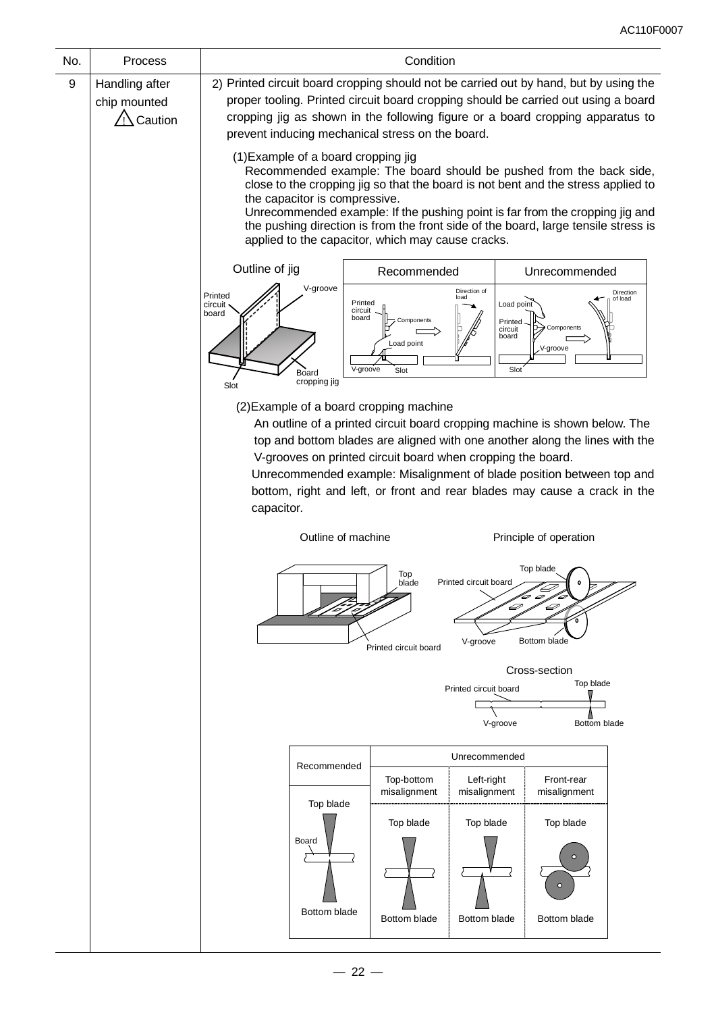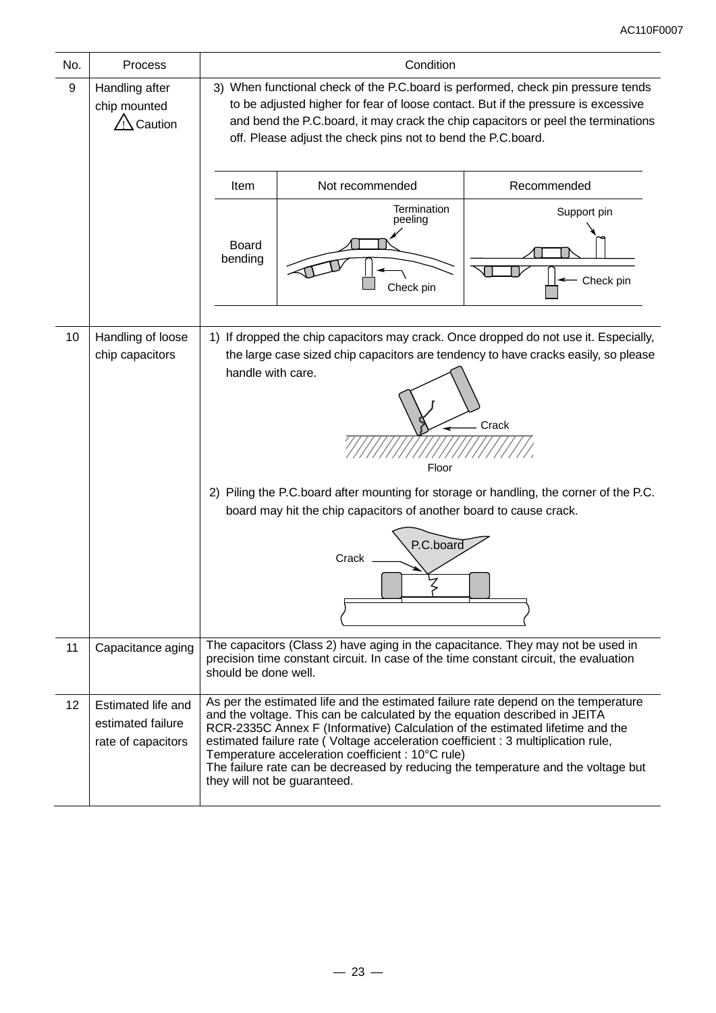| No. | Process                                                       | Condition                                                                                                                                                                                                                                                                                                                                                                                                                                                                                                        |                          |  |  |  |  |  |
|-----|---------------------------------------------------------------|------------------------------------------------------------------------------------------------------------------------------------------------------------------------------------------------------------------------------------------------------------------------------------------------------------------------------------------------------------------------------------------------------------------------------------------------------------------------------------------------------------------|--------------------------|--|--|--|--|--|
| 9   | Handling after<br>chip mounted<br>Caution                     | 3) When functional check of the P.C.board is performed, check pin pressure tends<br>to be adjusted higher for fear of loose contact. But if the pressure is excessive<br>and bend the P.C.board, it may crack the chip capacitors or peel the terminations<br>off. Please adjust the check pins not to bend the P.C.board.                                                                                                                                                                                       |                          |  |  |  |  |  |
|     |                                                               | Not recommended<br>Recommended<br>Item                                                                                                                                                                                                                                                                                                                                                                                                                                                                           |                          |  |  |  |  |  |
|     |                                                               | <b>Board</b><br>bending                                                                                                                                                                                                                                                                                                                                                                                                                                                                                          | Support pin<br>Check pin |  |  |  |  |  |
| 10  | Handling of loose<br>chip capacitors                          | 1) If dropped the chip capacitors may crack. Once dropped do not use it. Especially,<br>the large case sized chip capacitors are tendency to have cracks easily, so please<br>handle with care.<br>Crack<br>Floor<br>2) Piling the P.C.board after mounting for storage or handling, the corner of the P.C.<br>board may hit the chip capacitors of another board to cause crack.<br>P.C.board<br>Crack                                                                                                          |                          |  |  |  |  |  |
| 11  | Capacitance aging                                             | The capacitors (Class 2) have aging in the capacitance. They may not be used in<br>precision time constant circuit. In case of the time constant circuit, the evaluation<br>should be done well.                                                                                                                                                                                                                                                                                                                 |                          |  |  |  |  |  |
| 12  | Estimated life and<br>estimated failure<br>rate of capacitors | As per the estimated life and the estimated failure rate depend on the temperature<br>and the voltage. This can be calculated by the equation described in JEITA<br>RCR-2335C Annex F (Informative) Calculation of the estimated lifetime and the<br>estimated failure rate (Voltage acceleration coefficient : 3 multiplication rule,<br>Temperature acceleration coefficient : 10°C rule)<br>The failure rate can be decreased by reducing the temperature and the voltage but<br>they will not be guaranteed. |                          |  |  |  |  |  |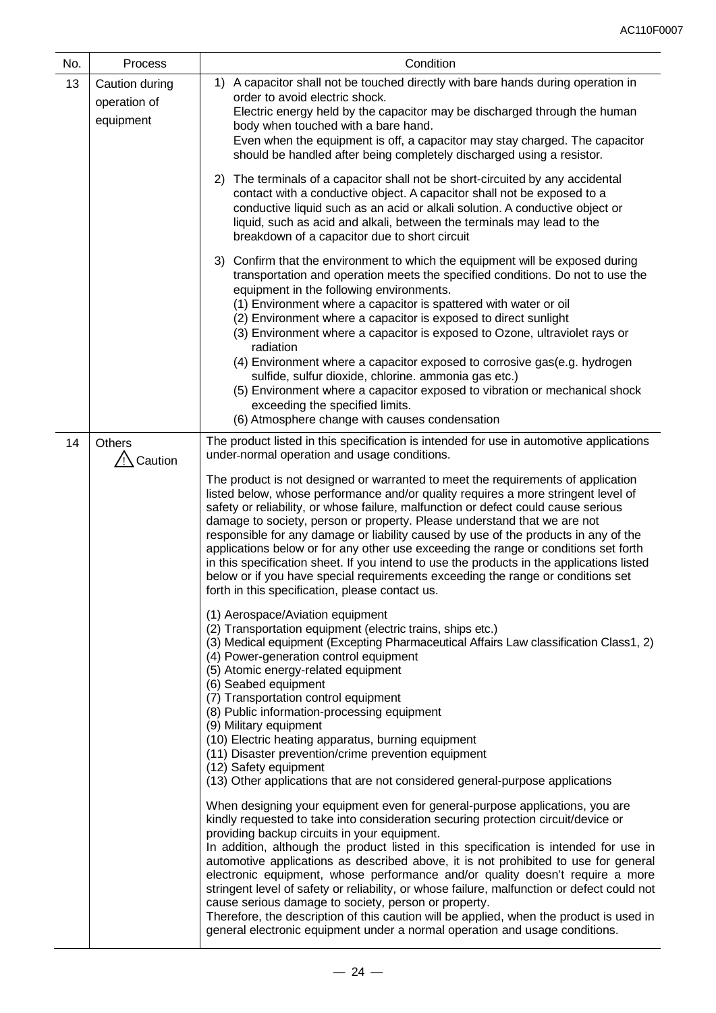| No. | Process                                     | Condition                                                                                                                                                                                                                                                                                                                                                                                                                                                                                                                                                                                                                                                                                                                                                                                                           |  |  |
|-----|---------------------------------------------|---------------------------------------------------------------------------------------------------------------------------------------------------------------------------------------------------------------------------------------------------------------------------------------------------------------------------------------------------------------------------------------------------------------------------------------------------------------------------------------------------------------------------------------------------------------------------------------------------------------------------------------------------------------------------------------------------------------------------------------------------------------------------------------------------------------------|--|--|
| 13  | Caution during<br>operation of<br>equipment | 1) A capacitor shall not be touched directly with bare hands during operation in<br>order to avoid electric shock.<br>Electric energy held by the capacitor may be discharged through the human<br>body when touched with a bare hand.<br>Even when the equipment is off, a capacitor may stay charged. The capacitor<br>should be handled after being completely discharged using a resistor.                                                                                                                                                                                                                                                                                                                                                                                                                      |  |  |
|     |                                             | The terminals of a capacitor shall not be short-circuited by any accidental<br>2)<br>contact with a conductive object. A capacitor shall not be exposed to a<br>conductive liquid such as an acid or alkali solution. A conductive object or<br>liquid, such as acid and alkali, between the terminals may lead to the<br>breakdown of a capacitor due to short circuit                                                                                                                                                                                                                                                                                                                                                                                                                                             |  |  |
|     |                                             | 3) Confirm that the environment to which the equipment will be exposed during<br>transportation and operation meets the specified conditions. Do not to use the<br>equipment in the following environments.<br>(1) Environment where a capacitor is spattered with water or oil<br>(2) Environment where a capacitor is exposed to direct sunlight<br>(3) Environment where a capacitor is exposed to Ozone, ultraviolet rays or<br>radiation<br>(4) Environment where a capacitor exposed to corrosive gas(e.g. hydrogen<br>sulfide, sulfur dioxide, chlorine. ammonia gas etc.)                                                                                                                                                                                                                                   |  |  |
|     |                                             | (5) Environment where a capacitor exposed to vibration or mechanical shock<br>exceeding the specified limits.<br>(6) Atmosphere change with causes condensation                                                                                                                                                                                                                                                                                                                                                                                                                                                                                                                                                                                                                                                     |  |  |
| 14  | <b>Others</b><br><b>Caution</b>             | The product listed in this specification is intended for use in automotive applications<br>under-normal operation and usage conditions.                                                                                                                                                                                                                                                                                                                                                                                                                                                                                                                                                                                                                                                                             |  |  |
|     |                                             | The product is not designed or warranted to meet the requirements of application<br>listed below, whose performance and/or quality requires a more stringent level of<br>safety or reliability, or whose failure, malfunction or defect could cause serious<br>damage to society, person or property. Please understand that we are not<br>responsible for any damage or liability caused by use of the products in any of the<br>applications below or for any other use exceeding the range or conditions set forth<br>in this specification sheet. If you intend to use the products in the applications listed<br>below or if you have special requirements exceeding the range or conditions set<br>forth in this specification, please contact us.                                                            |  |  |
|     |                                             | (1) Aerospace/Aviation equipment<br>(2) Transportation equipment (electric trains, ships etc.)<br>(3) Medical equipment (Excepting Pharmaceutical Affairs Law classification Class1, 2)<br>(4) Power-generation control equipment<br>(5) Atomic energy-related equipment<br>(6) Seabed equipment<br>(7) Transportation control equipment                                                                                                                                                                                                                                                                                                                                                                                                                                                                            |  |  |
|     |                                             | (8) Public information-processing equipment<br>(9) Military equipment<br>(10) Electric heating apparatus, burning equipment<br>(11) Disaster prevention/crime prevention equipment<br>(12) Safety equipment<br>(13) Other applications that are not considered general-purpose applications                                                                                                                                                                                                                                                                                                                                                                                                                                                                                                                         |  |  |
|     |                                             | When designing your equipment even for general-purpose applications, you are<br>kindly requested to take into consideration securing protection circuit/device or<br>providing backup circuits in your equipment.<br>In addition, although the product listed in this specification is intended for use in<br>automotive applications as described above, it is not prohibited to use for general<br>electronic equipment, whose performance and/or quality doesn't require a more<br>stringent level of safety or reliability, or whose failure, malfunction or defect could not<br>cause serious damage to society, person or property.<br>Therefore, the description of this caution will be applied, when the product is used in<br>general electronic equipment under a normal operation and usage conditions. |  |  |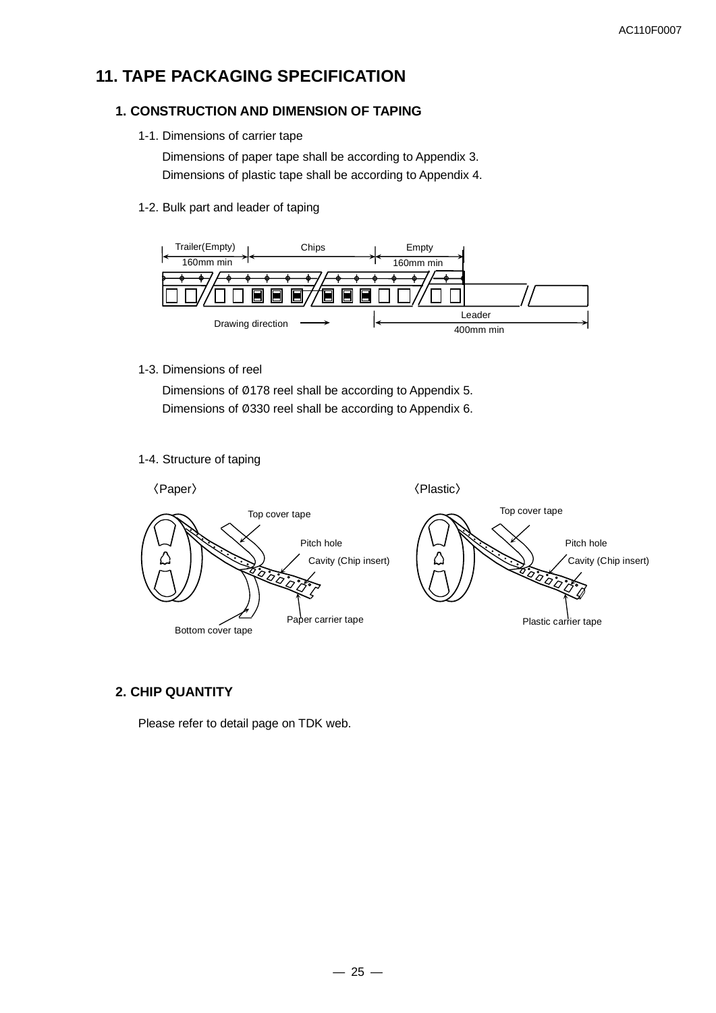# **11. TAPE PACKAGING SPECIFICATION**

### **1. CONSTRUCTION AND DIMENSION OF TAPING**

1-1. Dimensions of carrier tape

Dimensions of paper tape shall be according to Appendix 3. Dimensions of plastic tape shall be according to Appendix 4.

1-2. Bulk part and leader of taping



1-3. Dimensions of reel

Dimensions of Ø178 reel shall be according to Appendix 5. Dimensions of Ø330 reel shall be according to Appendix 6.

1-4. Structure of taping



### **2. CHIP QUANTITY**

Please refer to detail page on TDK web.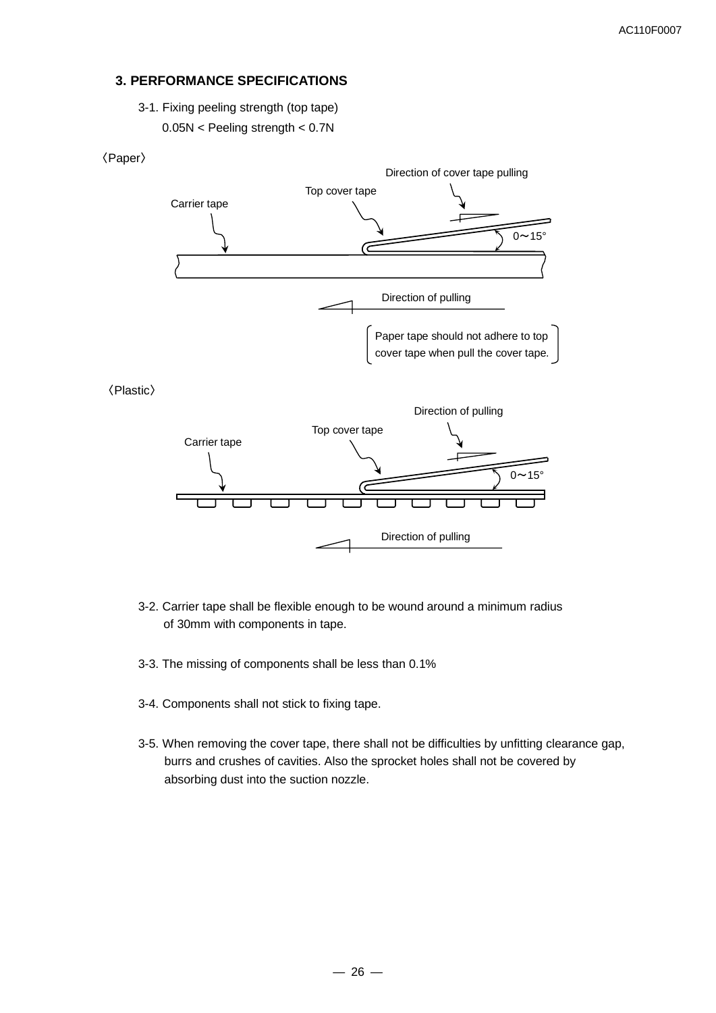### **3. PERFORMANCE SPECIFICATIONS**

3-1. Fixing peeling strength (top tape)

0.05N < Peeling strength < 0.7N



- 3-2. Carrier tape shall be flexible enough to be wound around a minimum radius of 30mm with components in tape.
- 3-3. The missing of components shall be less than 0.1%
- 3-4. Components shall not stick to fixing tape.
- 3-5. When removing the cover tape, there shall not be difficulties by unfitting clearance gap, burrs and crushes of cavities. Also the sprocket holes shall not be covered by absorbing dust into the suction nozzle.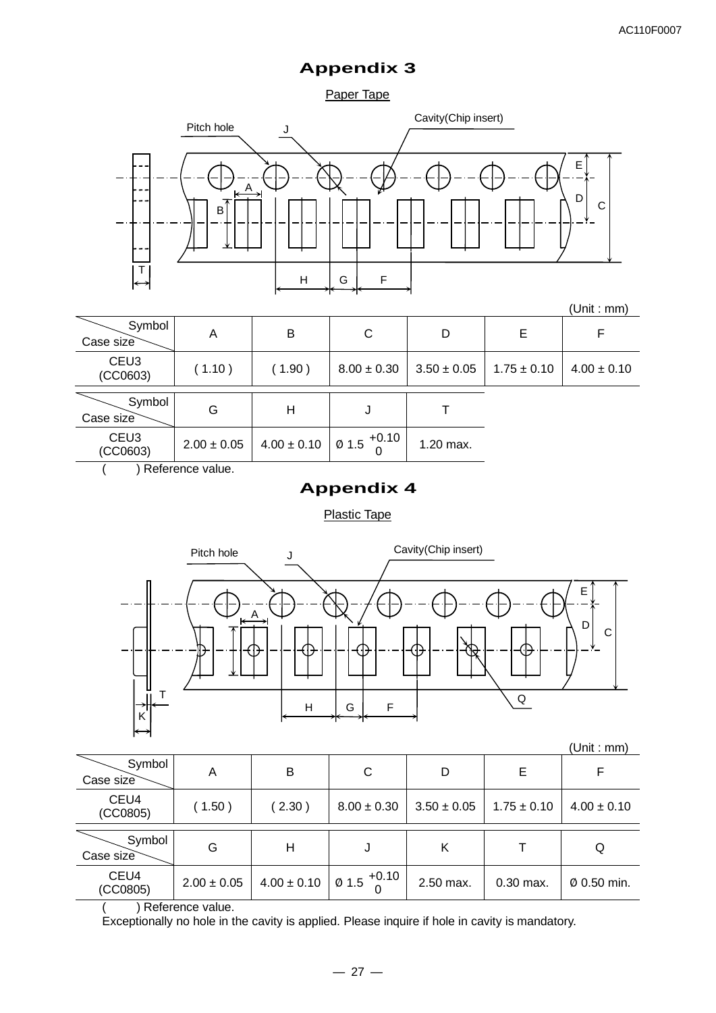## **Appendix 3**

Paper Tape



|                              |                 |                 |                                   |                 |                 | (UIIIL.IIIIII <i>I</i> |
|------------------------------|-----------------|-----------------|-----------------------------------|-----------------|-----------------|------------------------|
| Symbol<br>Case size          | A               | B               | C                                 | D               | Е               | F                      |
| CEU <sub>3</sub><br>(CCO603) | (1.10)          | (1.90)          | $8.00 \pm 0.30$                   | $3.50 \pm 0.05$ | $1.75 \pm 0.10$ | $4.00 \pm 0.10$        |
|                              |                 |                 |                                   |                 |                 |                        |
| Symbol                       | G               | Η               | J                                 |                 |                 |                        |
| Case size                    |                 |                 |                                   |                 |                 |                        |
| CEU <sub>3</sub><br>(CCO603) | $2.00 \pm 0.05$ | $4.00 \pm 0.10$ | $1 \, \emptyset$ 1.5 $^{+0.10}$ I | 1.20 max.       |                 |                        |
|                              |                 |                 |                                   |                 |                 |                        |

( ) Reference value.

# **Appendix 4**

Plastic Tape



| Symbol<br>Case size | A               | B               | C               | D               | Е               |                 |
|---------------------|-----------------|-----------------|-----------------|-----------------|-----------------|-----------------|
| CEU4<br>(CCO805)    | (1.50)          | (2.30)          | $8.00 \pm 0.30$ | $3.50 \pm 0.05$ | $1.75 \pm 0.10$ | $4.00 \pm 0.10$ |
| Symbol<br>Case size | G               | Н               | J               | Κ               |                 | Q               |
| CEU4<br>(CCO805)    | $2.00 \pm 0.05$ | $4.00 \pm 0.10$ | $1015$ +0.10    | 2.50 max.       | $0.30$ max.     | Ø 0.50 min.     |

( ) Reference value.

Exceptionally no hole in the cavity is applied. Please inquire if hole in cavity is mandatory.